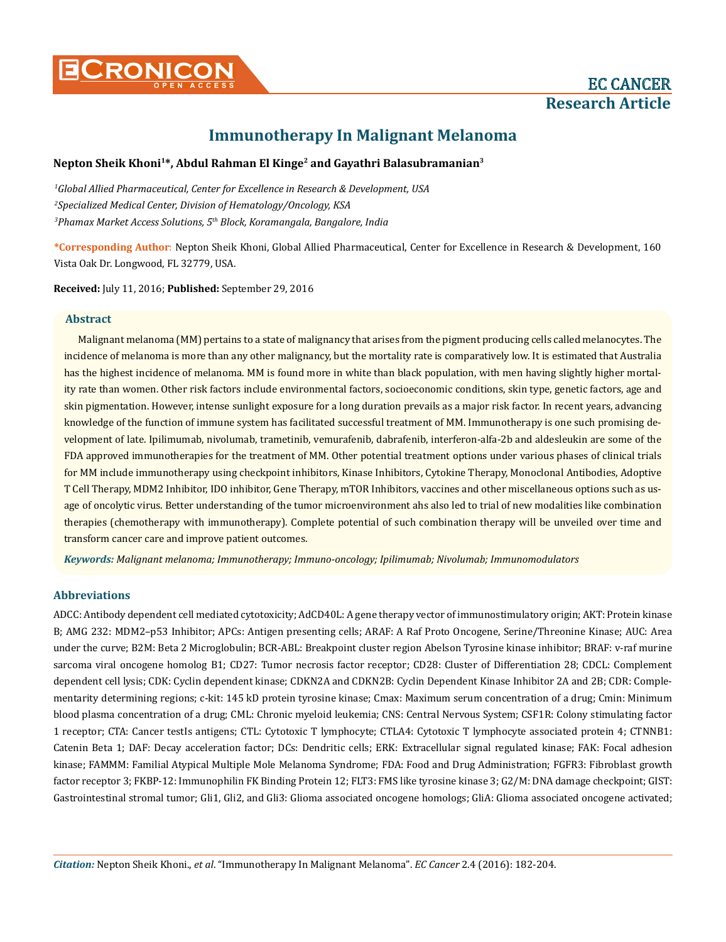# **Nepton Sheik Khoni1\*, Abdul Rahman El Kinge2 and Gayathri Balasubramanian3**

*1 Global Allied Pharmaceutical, Center for Excellence in Research & Development, USA 2 Specialized Medical Center, Division of Hematology/Oncology, KSA 3 Phamax Market Access Solutions, 5th Block, Koramangala, Bangalore, India*

**\*Corresponding Author**: Nepton Sheik Khoni, Global Allied Pharmaceutical, Center for Excellence in Research & Development, 160 Vista Oak Dr. Longwood, FL 32779, USA.

**Received:** July 11, 2016; **Published:** September 29, 2016

### **Abstract**

Malignant melanoma (MM) pertains to a state of malignancy that arises from the pigment producing cells called melanocytes. The incidence of melanoma is more than any other malignancy, but the mortality rate is comparatively low. It is estimated that Australia has the highest incidence of melanoma. MM is found more in white than black population, with men having slightly higher mortality rate than women. Other risk factors include environmental factors, socioeconomic conditions, skin type, genetic factors, age and skin pigmentation. However, intense sunlight exposure for a long duration prevails as a major risk factor. In recent years, advancing knowledge of the function of immune system has facilitated successful treatment of MM. Immunotherapy is one such promising development of late. Ipilimumab, nivolumab, trametinib, vemurafenib, dabrafenib, interferon-alfa-2b and aldesleukin are some of the FDA approved immunotherapies for the treatment of MM. Other potential treatment options under various phases of clinical trials for MM include immunotherapy using checkpoint inhibitors, Kinase Inhibitors, Cytokine Therapy, Monoclonal Antibodies, Adoptive T Cell Therapy, MDM2 Inhibitor, IDO inhibitor, Gene Therapy, mTOR Inhibitors, vaccines and other miscellaneous options such as usage of oncolytic virus. Better understanding of the tumor microenvironment ahs also led to trial of new modalities like combination therapies (chemotherapy with immunotherapy). Complete potential of such combination therapy will be unveiled over time and transform cancer care and improve patient outcomes.

*Keywords: Malignant melanoma; Immunotherapy; Immuno-oncology; Ipilimumab; Nivolumab; Immunomodulators*

# **Abbreviations**

ADCC: Antibody dependent cell mediated cytotoxicity; AdCD40L: A gene therapy vector of immunostimulatory origin; AKT: Protein kinase B; AMG 232: MDM2–p53 Inhibitor; APCs: Antigen presenting cells; ARAF: A Raf Proto Oncogene, Serine/Threonine Kinase; AUC: Area under the curve; B2M: Beta 2 Microglobulin; BCR-ABL: Breakpoint cluster region Abelson Tyrosine kinase inhibitor; BRAF: v-raf murine sarcoma viral oncogene homolog B1; CD27: Tumor necrosis factor receptor; CD28: Cluster of Differentiation 28; CDCL: Complement dependent cell lysis; CDK: Cyclin dependent kinase; CDKN2A and CDKN2B: Cyclin Dependent Kinase Inhibitor 2A and 2B; CDR: Complementarity determining regions; c-kit: 145 kD protein tyrosine kinase; Cmax: Maximum serum concentration of a drug; Cmin: Minimum blood plasma concentration of a drug; CML: Chronic myeloid leukemia; CNS: Central Nervous System; CSF1R: Colony stimulating factor 1 receptor; CTA: Cancer testIs antigens; CTL: Cytotoxic T lymphocyte; CTLA4: Cytotoxic T lymphocyte associated protein 4; CTNNB1: Catenin Beta 1; DAF: Decay acceleration factor; DCs: Dendritic cells; ERK: Extracellular signal regulated kinase; FAK: Focal adhesion kinase; FAMMM: Familial Atypical Multiple Mole Melanoma Syndrome; FDA: Food and Drug Administration; FGFR3: Fibroblast growth factor receptor 3; FKBP-12: Immunophilin FK Binding Protein 12; FLT3: FMS like tyrosine kinase 3; G2/M: DNA damage checkpoint; GIST: Gastrointestinal stromal tumor; Gli1, Gli2, and Gli3: Glioma associated oncogene homologs; GliA: Glioma associated oncogene activated;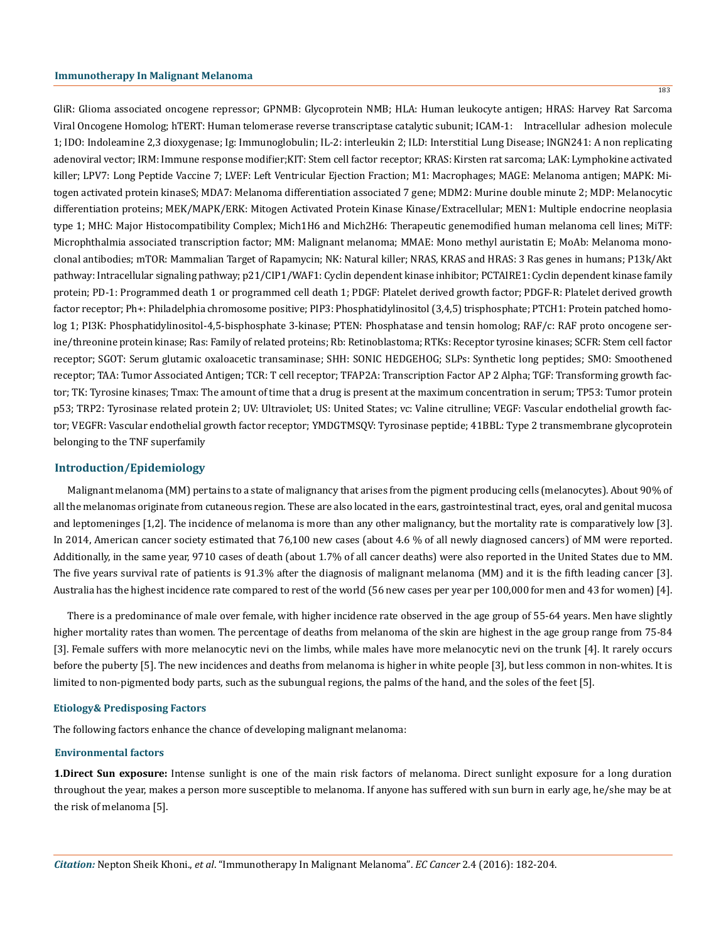183

GliR: Glioma associated oncogene repressor; GPNMB: Glycoprotein NMB; HLA: Human leukocyte antigen; HRAS: Harvey Rat Sarcoma Viral Oncogene Homolog; hTERT: Human telomerase reverse transcriptase catalytic subunit; ICAM-1: Intracellular adhesion molecule 1; IDO: Indoleamine 2,3 dioxygenase; Ig: Immunoglobulin; IL-2: interleukin 2; ILD: Interstitial Lung Disease; INGN241: A non replicating adenoviral vector; IRM: Immune response modifier;KIT: Stem cell factor receptor; KRAS: Kirsten rat sarcoma; LAK: Lymphokine activated killer; LPV7: Long Peptide Vaccine 7; LVEF: Left Ventricular Ejection Fraction; M1: Macrophages; MAGE: Melanoma antigen; MAPK: Mitogen activated protein kinaseS; MDA7: Melanoma differentiation associated 7 gene; MDM2: Murine double minute 2; MDP: Melanocytic differentiation proteins; MEK/MAPK/ERK: Mitogen Activated Protein Kinase Kinase/Extracellular; MEN1: Multiple endocrine neoplasia type 1; MHC: Major Histocompatibility Complex; Mich1H6 and Mich2H6: Therapeutic genemodified human melanoma cell lines; MiTF: Microphthalmia associated transcription factor; MM: Malignant melanoma; MMAE: Mono methyl auristatin E; MoAb: Melanoma monoclonal antibodies; mTOR: Mammalian Target of Rapamycin; NK: Natural killer; NRAS, KRAS and HRAS: 3 Ras genes in humans; P13k/Akt pathway: Intracellular signaling pathway; p21/CIP1/WAF1: Cyclin dependent kinase inhibitor; PCTAIRE1: Cyclin dependent kinase family protein; PD-1: Programmed death 1 or programmed cell death 1; PDGF: Platelet derived growth factor; PDGF-R: Platelet derived growth factor receptor; Ph+: Philadelphia chromosome positive; PIP3: Phosphatidylinositol (3,4,5) trisphosphate; PTCH1: Protein patched homolog 1; PI3K: Phosphatidylinositol-4,5-bisphosphate 3-kinase; PTEN: Phosphatase and tensin homolog; RAF/c: RAF proto oncogene serine/threonine protein kinase; Ras: Family of related proteins; Rb: Retinoblastoma; RTKs: Receptor tyrosine kinases; SCFR: Stem cell factor receptor; SGOT: Serum glutamic oxaloacetic transaminase; SHH: SONIC HEDGEHOG; SLPs: Synthetic long peptides; SMO: Smoothened receptor; TAA: Tumor Associated Antigen; TCR: T cell receptor; TFAP2A: Transcription Factor AP 2 Alpha; TGF: Transforming growth factor; TK: Tyrosine kinases; Tmax: The amount of time that a drug is present at the maximum concentration in serum; TP53: Tumor protein p53; TRP2: Tyrosinase related protein 2; UV: Ultraviolet; US: United States; vc: Valine citrulline; VEGF: Vascular endothelial growth factor; VEGFR: Vascular endothelial growth factor receptor; YMDGTMSQV: Tyrosinase peptide; 41BBL: Type 2 transmembrane glycoprotein belonging to the TNF superfamily

### **Introduction/Epidemiology**

Malignant melanoma (MM) pertains to a state of malignancy that arises from the pigment producing cells (melanocytes). About 90% of all the melanomas originate from cutaneous region. These are also located in the ears, gastrointestinal tract, eyes, oral and genital mucosa and leptomeninges [1,2]. The incidence of melanoma is more than any other malignancy, but the mortality rate is comparatively low [3]. In 2014, American cancer society estimated that 76,100 new cases (about 4.6 % of all newly diagnosed cancers) of MM were reported. Additionally, in the same year, 9710 cases of death (about 1.7% of all cancer deaths) were also reported in the United States due to MM. The five years survival rate of patients is 91.3% after the diagnosis of malignant melanoma (MM) and it is the fifth leading cancer [3]. Australia has the highest incidence rate compared to rest of the world (56 new cases per year per 100,000 for men and 43 for women) [4].

There is a predominance of male over female, with higher incidence rate observed in the age group of 55-64 years. Men have slightly higher mortality rates than women. The percentage of deaths from melanoma of the skin are highest in the age group range from 75-84 [3]. Female suffers with more melanocytic nevi on the limbs, while males have more melanocytic nevi on the trunk [4]. It rarely occurs before the puberty [5]. The new incidences and deaths from melanoma is higher in white people [3], but less common in non-whites. It is limited to non-pigmented body parts, such as the subungual regions, the palms of the hand, and the soles of the feet [5].

#### **Etiology& Predisposing Factors**

The following factors enhance the chance of developing malignant melanoma:

#### **Environmental factors**

**1.Direct Sun exposure:** Intense sunlight is one of the main risk factors of melanoma. Direct sunlight exposure for a long duration throughout the year, makes a person more susceptible to melanoma. If anyone has suffered with sun burn in early age, he/she may be at the risk of melanoma [5].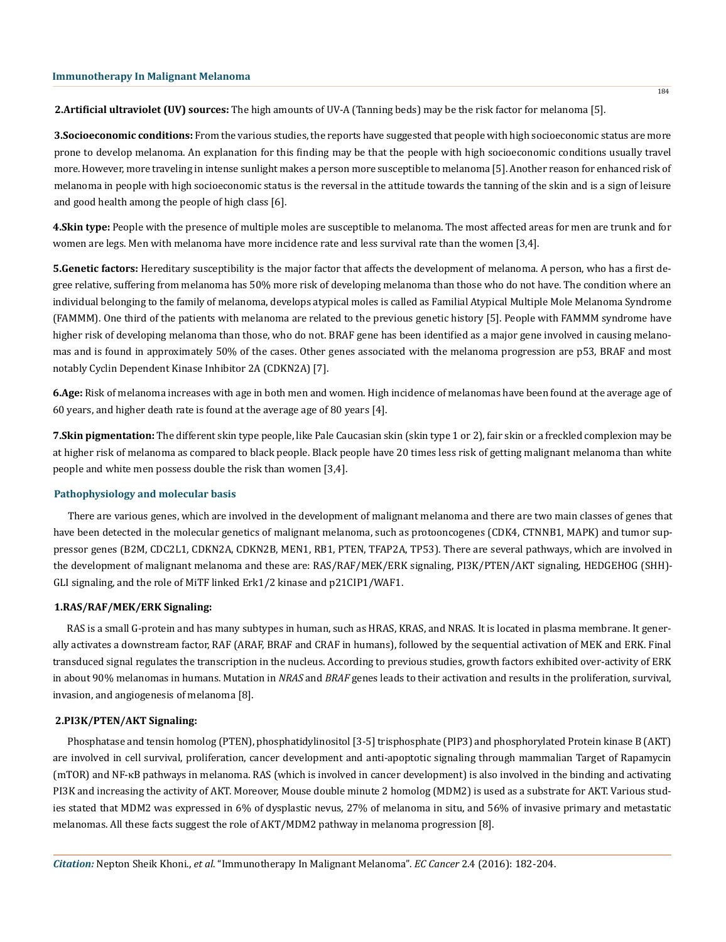**2.Artificial ultraviolet (UV) sources:** The high amounts of UV-A (Tanning beds) may be the risk factor for melanoma [5].

**3.Socioeconomic conditions:** From the various studies, the reports have suggested that people with high socioeconomic status are more prone to develop melanoma. An explanation for this finding may be that the people with high socioeconomic conditions usually travel more. However, more traveling in intense sunlight makes a person more susceptible to melanoma [5]. Another reason for enhanced risk of melanoma in people with high socioeconomic status is the reversal in the attitude towards the tanning of the skin and is a sign of leisure and good health among the people of high class [6].

**4.Skin type:** People with the presence of multiple moles are susceptible to melanoma. The most affected areas for men are trunk and for women are legs. Men with melanoma have more incidence rate and less survival rate than the women [3,4].

**5.Genetic factors:** Hereditary susceptibility is the major factor that affects the development of melanoma. A person, who has a first degree relative, suffering from melanoma has 50% more risk of developing melanoma than those who do not have. The condition where an individual belonging to the family of melanoma, develops atypical moles is called as Familial Atypical Multiple Mole Melanoma Syndrome (FAMMM). One third of the patients with melanoma are related to the previous genetic history [5]. People with FAMMM syndrome have higher risk of developing melanoma than those, who do not. BRAF gene has been identified as a major gene involved in causing melanomas and is found in approximately 50% of the cases. Other genes associated with the melanoma progression are p53, BRAF and most notably Cyclin Dependent Kinase Inhibitor 2A (CDKN2A) [7].

**6.Age:** Risk of melanoma increases with age in both men and women. High incidence of melanomas have been found at the average age of 60 years, and higher death rate is found at the average age of 80 years [4].

**7.Skin pigmentation:** The different skin type people, like Pale Caucasian skin (skin type 1 or 2), fair skin or a freckled complexion may be at higher risk of melanoma as compared to black people. Black people have 20 times less risk of getting malignant melanoma than white people and white men possess double the risk than women [3,4].

#### **Pathophysiology and molecular basis**

There are various genes, which are involved in the development of malignant melanoma and there are two main classes of genes that have been detected in the molecular genetics of malignant melanoma, such as protooncogenes (CDK4, CTNNB1, MAPK) and tumor suppressor genes (B2M, CDC2L1, CDKN2A, CDKN2B, MEN1, RB1, PTEN, TFAP2A, TP53). There are several pathways, which are involved in the development of malignant melanoma and these are: RAS/RAF/MEK/ERK signaling, PI3K/PTEN/AKT signaling, HEDGEHOG (SHH)- GLI signaling, and the role of MiTF linked Erk1/2 kinase and p21CIP1/WAF1.

#### **1.RAS/RAF/MEK/ERK Signaling:**

RAS is a small G-protein and has many subtypes in human, such as HRAS, KRAS, and NRAS. It is located in plasma membrane. It generally activates a downstream factor, RAF (ARAF, BRAF and CRAF in humans), followed by the sequential activation of MEK and ERK. Final transduced signal regulates the transcription in the nucleus. According to previous studies, growth factors exhibited over-activity of ERK in about 90% melanomas in humans. Mutation in *NRAS* and *BRAF* genes leads to their activation and results in the proliferation, survival, invasion, and angiogenesis of melanoma [8].

#### **2.PI3K/PTEN/AKT Signaling:**

Phosphatase and tensin homolog (PTEN), phosphatidylinositol [3-5] trisphosphate (PIP3) and phosphorylated Protein kinase B (AKT) are involved in cell survival, proliferation, cancer development and anti-apoptotic signaling through mammalian Target of Rapamycin (mTOR) and NF-κB pathways in melanoma. RAS (which is involved in cancer development) is also involved in the binding and activating PI3K and increasing the activity of AKT. Moreover, Mouse double minute 2 homolog (MDM2) is used as a substrate for AKT. Various studies stated that MDM2 was expressed in 6% of dysplastic nevus, 27% of melanoma in situ, and 56% of invasive primary and metastatic melanomas. All these facts suggest the role of AKT/MDM2 pathway in melanoma progression [8].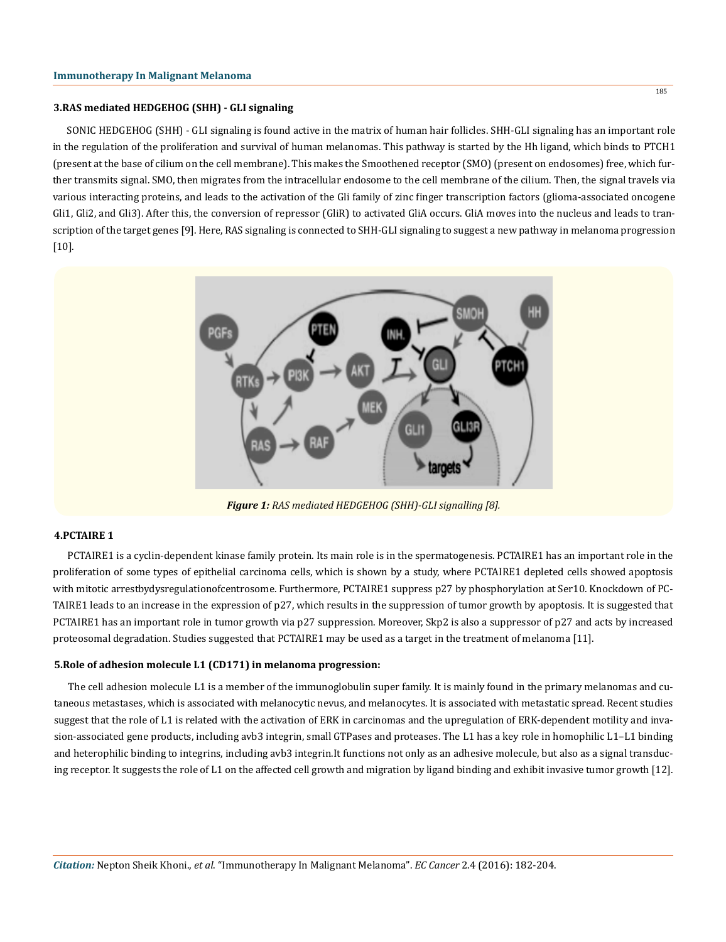### **3.RAS mediated HEDGEHOG (SHH) - GLI signaling**

SONIC HEDGEHOG (SHH) - GLI signaling is found active in the matrix of human hair follicles. SHH-GLI signaling has an important role in the regulation of the proliferation and survival of human melanomas. This pathway is started by the Hh ligand, which binds to PTCH1 (present at the base of cilium on the cell membrane). This makes the Smoothened receptor (SMO) (present on endosomes) free, which further transmits signal. SMO, then migrates from the intracellular endosome to the cell membrane of the cilium. Then, the signal travels via various interacting proteins, and leads to the activation of the Gli family of zinc finger transcription factors (glioma-associated oncogene Gli1, Gli2, and Gli3). After this, the conversion of repressor (GliR) to activated GliA occurs. GliA moves into the nucleus and leads to transcription of the target genes [9]. Here, RAS signaling is connected to SHH-GLI signaling to suggest a new pathway in melanoma progression [10].



*Figure 1: RAS mediated HEDGEHOG (SHH)-GLI signalling [8].*

### **4.PCTAIRE 1**

PCTAIRE1 is a cyclin-dependent kinase family protein. Its main role is in the spermatogenesis. PCTAIRE1 has an important role in the proliferation of some types of epithelial carcinoma cells, which is shown by a study, where PCTAIRE1 depleted cells showed apoptosis with mitotic arrestbydysregulationofcentrosome. Furthermore, PCTAIRE1 suppress p27 by phosphorylation at Ser10. Knockdown of PC-TAIRE1 leads to an increase in the expression of p27, which results in the suppression of tumor growth by apoptosis. It is suggested that PCTAIRE1 has an important role in tumor growth via p27 suppression. Moreover, Skp2 is also a suppressor of p27 and acts by increased proteosomal degradation. Studies suggested that PCTAIRE1 may be used as a target in the treatment of melanoma [11].

#### **5.Role of adhesion molecule L1 (CD171) in melanoma progression:**

The cell adhesion molecule L1 is a member of the immunoglobulin super family. It is mainly found in the primary melanomas and cutaneous metastases, which is associated with melanocytic nevus, and melanocytes. It is associated with metastatic spread. Recent studies suggest that the role of L1 is related with the activation of ERK in carcinomas and the upregulation of ERK-dependent motility and invasion-associated gene products, including avb3 integrin, small GTPases and proteases. The L1 has a key role in homophilic L1-L1 binding and heterophilic binding to integrins, including avb3 integrin.It functions not only as an adhesive molecule, but also as a signal transducing receptor. It suggests the role of L1 on the affected cell growth and migration by ligand binding and exhibit invasive tumor growth [12].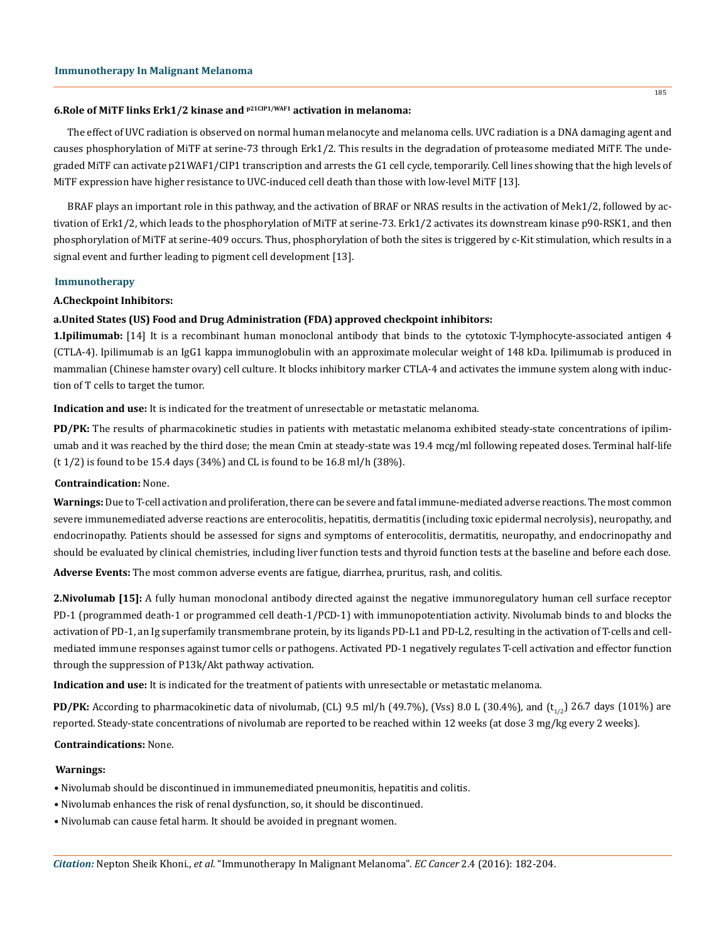### **6.Role of MiTF links Erk1/2 kinase and p21CIP1/WAF1 activation in melanoma:**

The effect of UVC radiation is observed on normal human melanocyte and melanoma cells. UVC radiation is a DNA damaging agent and causes phosphorylation of MiTF at serine-73 through Erk1/2. This results in the degradation of proteasome mediated MiTF. The undegraded MiTF can activate p21WAF1/CIP1 transcription and arrests the G1 cell cycle, temporarily. Cell lines showing that the high levels of MiTF expression have higher resistance to UVC-induced cell death than those with low-level MiTF [13].

BRAF plays an important role in this pathway, and the activation of BRAF or NRAS results in the activation of Mek1/2, followed by activation of Erk1/2, which leads to the phosphorylation of MiTF at serine-73. Erk1/2 activates its downstream kinase p90-RSK1, and then phosphorylation of MiTF at serine-409 occurs. Thus, phosphorylation of both the sites is triggered by c-Kit stimulation, which results in a signal event and further leading to pigment cell development [13].

#### **Immunotherapy**

### **A.Checkpoint Inhibitors:**

### **a.United States (US) Food and Drug Administration (FDA) approved checkpoint inhibitors:**

**1.Ipilimumab:** [14] It is a recombinant human monoclonal antibody that binds to the cytotoxic T-lymphocyte-associated antigen 4 (CTLA-4). Ipilimumab is an IgG1 kappa immunoglobulin with an approximate molecular weight of 148 kDa. Ipilimumab is produced in mammalian (Chinese hamster ovary) cell culture. It blocks inhibitory marker CTLA-4 and activates the immune system along with induction of T cells to target the tumor.

**Indication and use:** It is indicated for the treatment of unresectable or metastatic melanoma.

**PD/PK:** The results of pharmacokinetic studies in patients with metastatic melanoma exhibited steady-state concentrations of ipilimumab and it was reached by the third dose; the mean Cmin at steady-state was 19.4 mcg/ml following repeated doses. Terminal half-life (t 1/2) is found to be 15.4 days (34%) and CL is found to be 16.8 ml/h (38%).

### **Contraindication:** None.

**Warnings:** Due to T-cell activation and proliferation, there can be severe and fatal immune-mediated adverse reactions. The most common severe immunemediated adverse reactions are enterocolitis, hepatitis, dermatitis (including toxic epidermal necrolysis), neuropathy, and endocrinopathy. Patients should be assessed for signs and symptoms of enterocolitis, dermatitis, neuropathy, and endocrinopathy and should be evaluated by clinical chemistries, including liver function tests and thyroid function tests at the baseline and before each dose.

**Adverse Events:** The most common adverse events are fatigue, diarrhea, pruritus, rash, and colitis.

**2.Nivolumab [15]:** A fully human monoclonal antibody directed against the negative immunoregulatory human cell surface receptor PD-1 (programmed death-1 or programmed cell death-1/PCD-1) with immunopotentiation activity. Nivolumab binds to and blocks the activation of PD-1, an Ig superfamily transmembrane protein, by its ligands PD-L1 and PD-L2, resulting in the activation of T-cells and cellmediated immune responses against tumor cells or pathogens. Activated PD-1 negatively regulates T-cell activation and effector function through the suppression of P13k/Akt pathway activation.

**Indication and use:** It is indicated for the treatment of patients with unresectable or metastatic melanoma.

**PD/PK:** According to pharmacokinetic data of nivolumab, (CL) 9.5 ml/h (49.7%), (Vss) 8.0 L (30.4%), and  $(t_{1/2})$  26.7 days (101%) are reported. Steady-state concentrations of nivolumab are reported to be reached within 12 weeks (at dose 3 mg/kg every 2 weeks).

### **Contraindications:** None.

#### **Warnings:**

- Nivolumab should be discontinued in immunemediated pneumonitis, hepatitis and colitis.
- Nivolumab enhances the risk of renal dysfunction, so, it should be discontinued.
- Nivolumab can cause fetal harm. It should be avoided in pregnant women.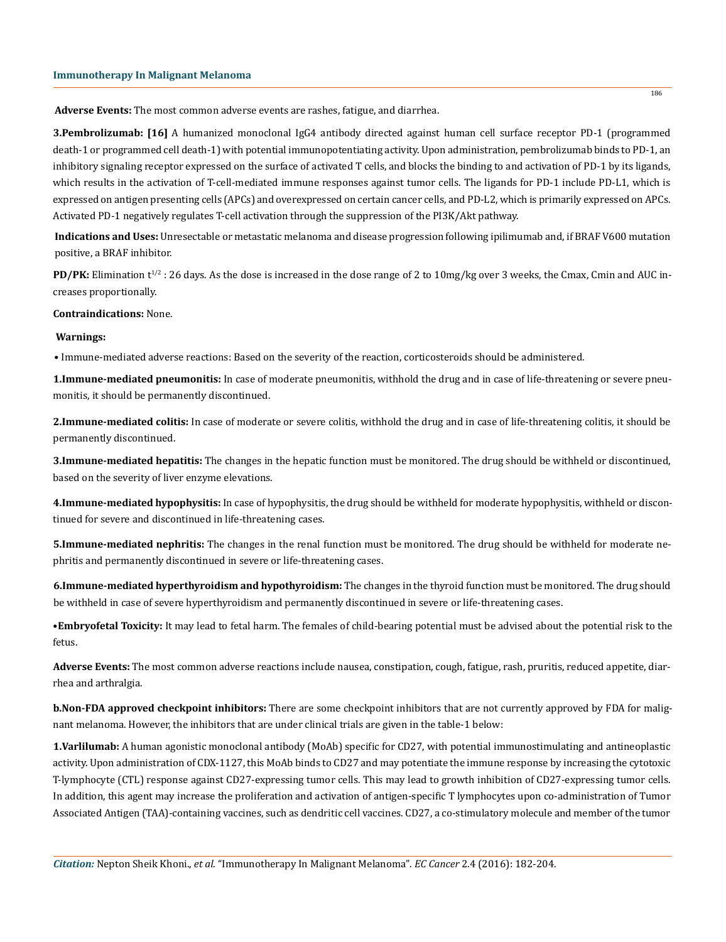186

**Adverse Events:** The most common adverse events are rashes, fatigue, and diarrhea.

**3.Pembrolizumab: [16]** A humanized monoclonal IgG4 antibody directed against human cell surface receptor PD-1 (programmed death-1 or programmed cell death-1) with potential immunopotentiating activity. Upon administration, pembrolizumab binds to PD-1, an inhibitory signaling receptor expressed on the surface of activated T cells, and blocks the binding to and activation of PD-1 by its ligands, which results in the activation of T-cell-mediated immune responses against tumor cells. The ligands for PD-1 include PD-L1, which is expressed on antigen presenting cells (APCs) and overexpressed on certain cancer cells, and PD-L2, which is primarily expressed on APCs. Activated PD-1 negatively regulates T-cell activation through the suppression of the PI3K/Akt pathway.

**Indications and Uses:** Unresectable or metastatic melanoma and disease progression following ipilimumab and, if BRAF V600 mutation positive, a BRAF inhibitor.

**PD/PK:** Elimination t<sup>1/2</sup> : 26 days. As the dose is increased in the dose range of 2 to 10mg/kg over 3 weeks, the Cmax, Cmin and AUC increases proportionally.

**Contraindications:** None.

### **Warnings:**

• Immune-mediated adverse reactions: Based on the severity of the reaction, corticosteroids should be administered.

**1.Immune-mediated pneumonitis:** In case of moderate pneumonitis, withhold the drug and in case of life-threatening or severe pneumonitis, it should be permanently discontinued.

**2.Immune-mediated colitis:** In case of moderate or severe colitis, withhold the drug and in case of life-threatening colitis, it should be permanently discontinued.

**3.Immune-mediated hepatitis:** The changes in the hepatic function must be monitored. The drug should be withheld or discontinued, based on the severity of liver enzyme elevations.

**4.Immune-mediated hypophysitis:** In case of hypophysitis, the drug should be withheld for moderate hypophysitis, withheld or discontinued for severe and discontinued in life-threatening cases.

**5.Immune-mediated nephritis:** The changes in the renal function must be monitored. The drug should be withheld for moderate nephritis and permanently discontinued in severe or life-threatening cases.

**6.Immune-mediated hyperthyroidism and hypothyroidism:** The changes in the thyroid function must be monitored. The drug should be withheld in case of severe hyperthyroidism and permanently discontinued in severe or life-threatening cases.

•**Embryofetal Toxicity:** It may lead to fetal harm. The females of child-bearing potential must be advised about the potential risk to the fetus.

**Adverse Events:** The most common adverse reactions include nausea, constipation, cough, fatigue, rash, pruritis, reduced appetite, diarrhea and arthralgia.

**b.Non-FDA approved checkpoint inhibitors:** There are some checkpoint inhibitors that are not currently approved by FDA for malignant melanoma. However, the inhibitors that are under clinical trials are given in the table-1 below:

**1.Varlilumab:** A human agonistic monoclonal antibody (MoAb) specific for CD27, with potential immunostimulating and antineoplastic activity. Upon administration of CDX-1127, this MoAb binds to CD27 and may potentiate the immune response by increasing the cytotoxic T-lymphocyte (CTL) response against CD27-expressing tumor cells. This may lead to growth inhibition of CD27-expressing tumor cells. In addition, this agent may increase the proliferation and activation of antigen-specific T lymphocytes upon co-administration of Tumor Associated Antigen (TAA)-containing vaccines, such as dendritic cell vaccines. CD27, a co-stimulatory molecule and member of the tumor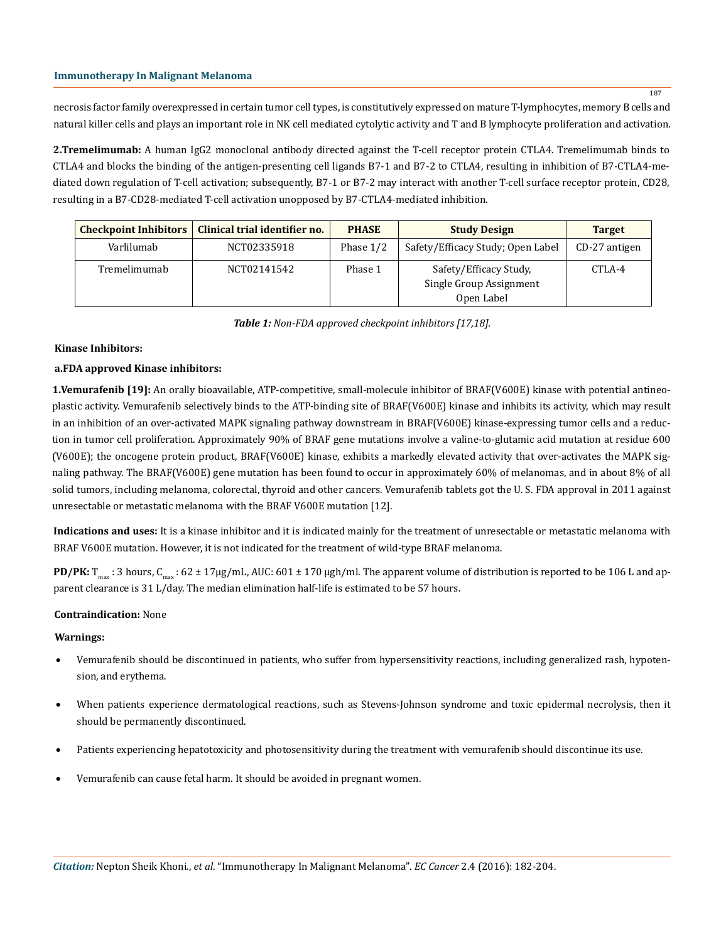necrosis factor family overexpressed in certain tumor cell types, is constitutively expressed on mature T-lymphocytes, memory B cells and natural killer cells and plays an important role in NK cell mediated cytolytic activity and T and B lymphocyte proliferation and activation.

**2.Tremelimumab:** A human IgG2 monoclonal antibody directed against the T-cell receptor protein CTLA4. Tremelimumab binds to CTLA4 and blocks the binding of the antigen-presenting cell ligands B7-1 and B7-2 to CTLA4, resulting in inhibition of B7-CTLA4-mediated down regulation of T-cell activation; subsequently, B7-1 or B7-2 may interact with another T-cell surface receptor protein, CD28, resulting in a B7-CD28-mediated T-cell activation unopposed by B7-CTLA4-mediated inhibition.

| <b>Checkpoint Inhibitors</b> | Clinical trial identifier no. | <b>PHASE</b> | <b>Study Design</b>               | <b>Target</b> |
|------------------------------|-------------------------------|--------------|-----------------------------------|---------------|
| Varlilumab                   | NCT02335918                   | Phase $1/2$  | Safety/Efficacy Study; Open Label | CD-27 antigen |
| Tremelimumab                 | NCT02141542                   | Phase 1      | Safety/Efficacy Study,            | CTLA-4        |
|                              |                               |              | Single Group Assignment           |               |
|                              |                               |              | Open Label                        |               |

*Table 1: Non-FDA approved checkpoint inhibitors [17,18].*

# **Kinase Inhibitors:**

# **a.FDA approved Kinase inhibitors:**

**1.Vemurafenib [19]:** An orally bioavailable, ATP-competitive, small-molecule inhibitor of BRAF(V600E) kinase with potential antineoplastic activity. Vemurafenib selectively binds to the ATP-binding site of BRAF(V600E) kinase and inhibits its activity, which may result in an inhibition of an over-activated MAPK signaling pathway downstream in BRAF(V600E) kinase-expressing tumor cells and a reduction in tumor cell proliferation. Approximately 90% of BRAF gene mutations involve a valine-to-glutamic acid mutation at residue 600 (V600E); the oncogene protein product, BRAF(V600E) kinase, exhibits a markedly elevated activity that over-activates the MAPK signaling pathway. The BRAF(V600E) gene mutation has been found to occur in approximately 60% of melanomas, and in about 8% of all solid tumors, including melanoma, colorectal, thyroid and other cancers. Vemurafenib tablets got the U. S. FDA approval in 2011 against unresectable or metastatic melanoma with the BRAF V600E mutation [12].

**Indications and uses:** It is a kinase inhibitor and it is indicated mainly for the treatment of unresectable or metastatic melanoma with BRAF V600E mutation. However, it is not indicated for the treatment of wild-type BRAF melanoma.

**PD/PK:**  $T_{max}$ : 3 hours,  $C_{max}$ : 62 ± 17µg/mL, AUC: 601 ± 170 µgh/ml. The apparent volume of distribution is reported to be 106 L and apparent clearance is 31 L/day. The median elimination half-life is estimated to be 57 hours.

### **Contraindication:** None

### **Warnings:**

- Vemurafenib should be discontinued in patients, who suffer from hypersensitivity reactions, including generalized rash, hypotension, and erythema.
- When patients experience dermatological reactions, such as Stevens-Johnson syndrome and toxic epidermal necrolysis, then it should be permanently discontinued.
- Patients experiencing hepatotoxicity and photosensitivity during the treatment with vemurafenib should discontinue its use.
- Vemurafenib can cause fetal harm. It should be avoided in pregnant women.

 $\frac{1}{187}$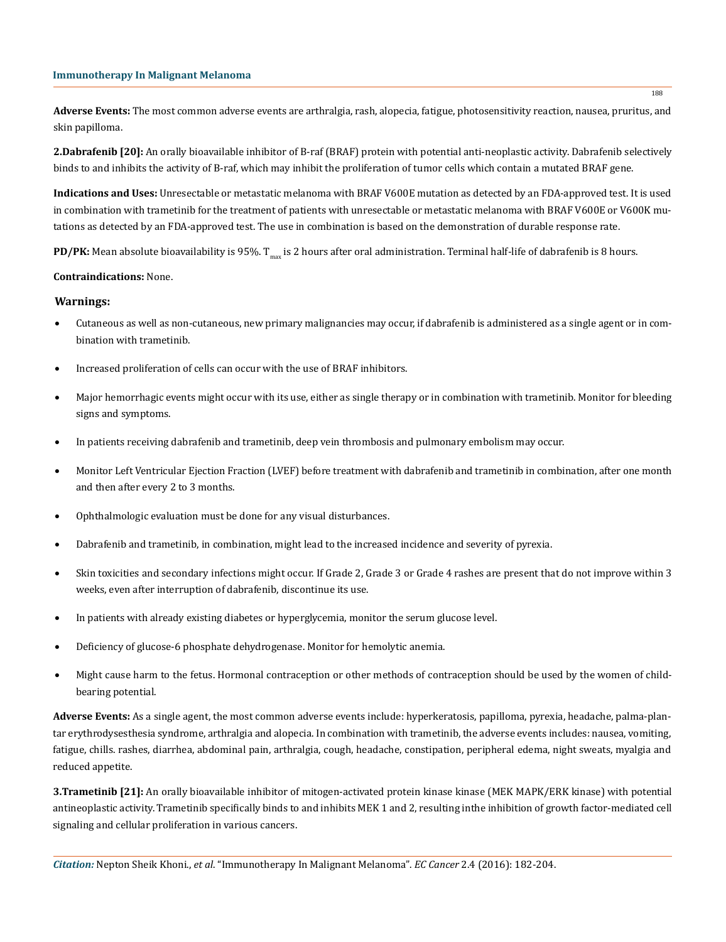**Adverse Events:** The most common adverse events are arthralgia, rash, alopecia, fatigue, photosensitivity reaction, nausea, pruritus, and skin papilloma.

**2.Dabrafenib [20]:** An orally bioavailable inhibitor of B-raf (BRAF) protein with potential anti-neoplastic activity. Dabrafenib selectively binds to and inhibits the activity of B-raf, which may inhibit the proliferation of tumor cells which contain a mutated BRAF gene.

**Indications and Uses:** Unresectable or metastatic melanoma with BRAF V600E mutation as detected by an FDA-approved test. It is used in combination with trametinib for the treatment of patients with unresectable or metastatic melanoma with BRAF V600E or V600K mutations as detected by an FDA-approved test. The use in combination is based on the demonstration of durable response rate.

**PD/PK:** Mean absolute bioavailability is 95%. T<sub>max</sub> is 2 hours after oral administration. Terminal half-life of dabrafenib is 8 hours.

# **Contraindications:** None.

# **Warnings:**

- Cutaneous as well as non-cutaneous, new primary malignancies may occur, if dabrafenib is administered as a single agent or in combination with trametinib.
- Increased proliferation of cells can occur with the use of BRAF inhibitors.
- Major hemorrhagic events might occur with its use, either as single therapy or in combination with trametinib. Monitor for bleeding signs and symptoms.
- In patients receiving dabrafenib and trametinib, deep vein thrombosis and pulmonary embolism may occur.
- Monitor Left Ventricular Ejection Fraction (LVEF) before treatment with dabrafenib and trametinib in combination, after one month and then after every 2 to 3 months.
- Ophthalmologic evaluation must be done for any visual disturbances.
- Dabrafenib and trametinib, in combination, might lead to the increased incidence and severity of pyrexia.
- • Skin toxicities and secondary infections might occur. If Grade 2, Grade 3 or Grade 4 rashes are present that do not improve within 3 weeks, even after interruption of dabrafenib, discontinue its use.
- In patients with already existing diabetes or hyperglycemia, monitor the serum glucose level.
- Deficiency of glucose-6 phosphate dehydrogenase. Monitor for hemolytic anemia.
- Might cause harm to the fetus. Hormonal contraception or other methods of contraception should be used by the women of childbearing potential.

**Adverse Events:** As a single agent, the most common adverse events include: hyperkeratosis, papilloma, pyrexia, headache, palma-plantar erythrodysesthesia syndrome, arthralgia and alopecia. In combination with trametinib, the adverse events includes: nausea, vomiting, fatigue, chills. rashes, diarrhea, abdominal pain, arthralgia, cough, headache, constipation, peripheral edema, night sweats, myalgia and reduced appetite.

**3.Trametinib [21]:** An orally bioavailable inhibitor of mitogen-activated protein kinase kinase (MEK MAPK/ERK kinase) with potential antineoplastic activity. Trametinib specifically binds to and inhibits MEK 1 and 2, resulting inthe inhibition of growth factor-mediated cell signaling and cellular proliferation in various cancers.

*Citation:* Nepton Sheik Khoni., *et al*. "Immunotherapy In Malignant Melanoma". *EC Cancer* 2.4 (2016): 182-204.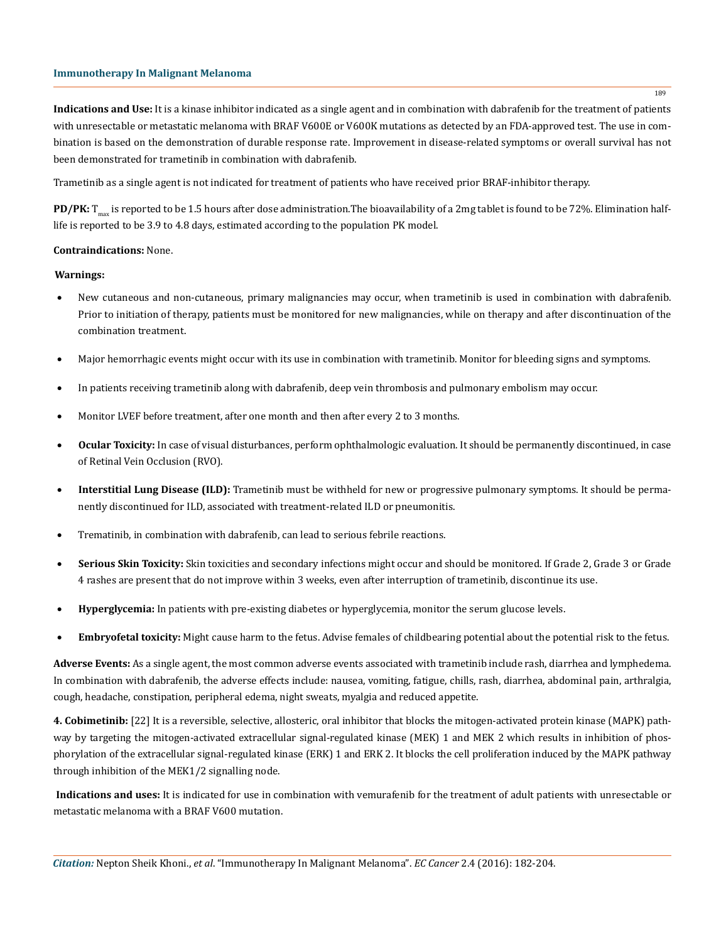**Indications and Use:** It is a kinase inhibitor indicated as a single agent and in combination with dabrafenib for the treatment of patients with unresectable or metastatic melanoma with BRAF V600E or V600K mutations as detected by an FDA-approved test. The use in combination is based on the demonstration of durable response rate. Improvement in disease-related symptoms or overall survival has not been demonstrated for trametinib in combination with dabrafenib.

Trametinib as a single agent is not indicated for treatment of patients who have received prior BRAF-inhibitor therapy.

**PD/PK:** T<sub>nax</sub> is reported to be 1.5 hours after dose administration. The bioavailability of a 2mg tablet is found to be 72%. Elimination halflife is reported to be 3.9 to 4.8 days, estimated according to the population PK model.

### **Contraindications:** None.

#### **Warnings:**

- New cutaneous and non-cutaneous, primary malignancies may occur, when trametinib is used in combination with dabrafenib. Prior to initiation of therapy, patients must be monitored for new malignancies, while on therapy and after discontinuation of the combination treatment.
- Major hemorrhagic events might occur with its use in combination with trametinib. Monitor for bleeding signs and symptoms.
- In patients receiving trametinib along with dabrafenib, deep vein thrombosis and pulmonary embolism may occur.
- Monitor LVEF before treatment, after one month and then after every 2 to 3 months.
- Ocular Toxicity: In case of visual disturbances, perform ophthalmologic evaluation. It should be permanently discontinued, in case of Retinal Vein Occlusion (RVO).
- **Interstitial Lung Disease (ILD):** Trametinib must be withheld for new or progressive pulmonary symptoms. It should be permanently discontinued for ILD, associated with treatment-related ILD or pneumonitis.
- Trematinib, in combination with dabrafenib, can lead to serious febrile reactions.
- Serious Skin Toxicity: Skin toxicities and secondary infections might occur and should be monitored. If Grade 2, Grade 3 or Grade 4 rashes are present that do not improve within 3 weeks, even after interruption of trametinib, discontinue its use.
- **Hyperglycemia:** In patients with pre-existing diabetes or hyperglycemia, monitor the serum glucose levels.
- **Embryofetal toxicity:** Might cause harm to the fetus. Advise females of childbearing potential about the potential risk to the fetus.

**Adverse Events:** As a single agent, the most common adverse events associated with trametinib include rash, diarrhea and lymphedema. In combination with dabrafenib, the adverse effects include: nausea, vomiting, fatigue, chills, rash, diarrhea, abdominal pain, arthralgia, cough, headache, constipation, peripheral edema, night sweats, myalgia and reduced appetite.

**4. Cobimetinib:** [22] It is a reversible, selective, allosteric, oral inhibitor that blocks the mitogen-activated protein kinase (MAPK) pathway by targeting the mitogen-activated extracellular signal-regulated kinase (MEK) 1 and MEK 2 which results in inhibition of phosphorylation of the extracellular signal-regulated kinase (ERK) 1 and ERK 2. It blocks the cell proliferation induced by the MAPK pathway through inhibition of the MEK1/2 signalling node.

 **Indications and uses:** It is indicated for use in combination with vemurafenib for the treatment of adult patients with unresectable or metastatic melanoma with a BRAF V600 mutation.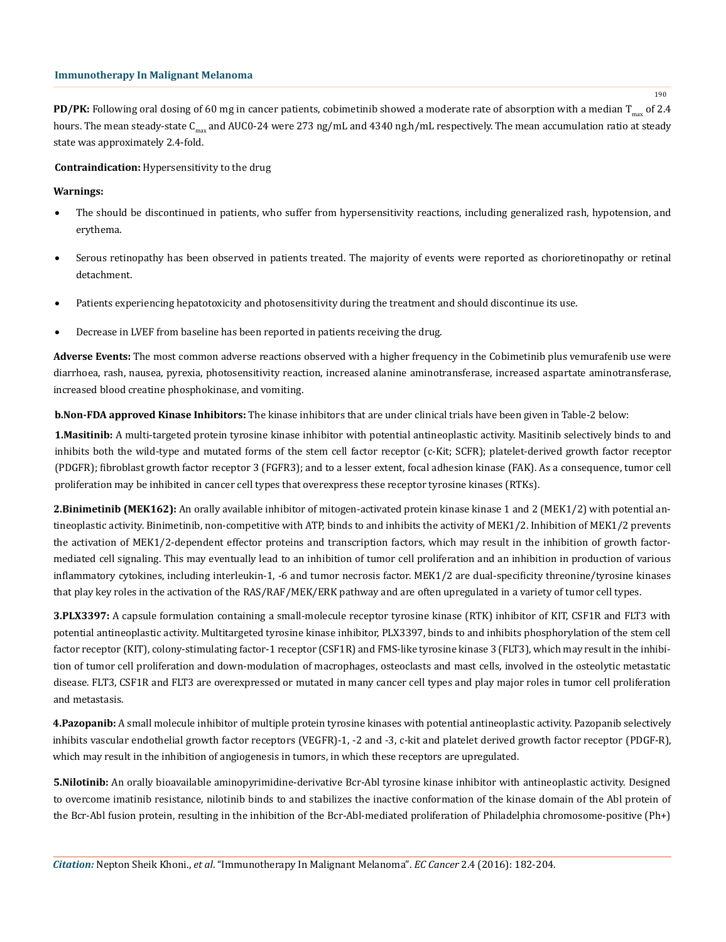**PD/PK:** Following oral dosing of 60 mg in cancer patients, cobimetinib showed a moderate rate of absorption with a median  $T_{\text{max}}$  of 2.4 hours. The mean steady-state C<sub>max</sub> and AUC0-24 were 273 ng/mL and 4340 ng.h/mL respectively. The mean accumulation ratio at steady state was approximately 2.4-fold.

### **Contraindication:** Hypersensitivity to the drug

### **Warnings:**

- The should be discontinued in patients, who suffer from hypersensitivity reactions, including generalized rash, hypotension, and erythema.
- Serous retinopathy has been observed in patients treated. The majority of events were reported as chorioretinopathy or retinal detachment.
- Patients experiencing hepatotoxicity and photosensitivity during the treatment and should discontinue its use.
- Decrease in LVEF from baseline has been reported in patients receiving the drug.

**Adverse Events:** The most common adverse reactions observed with a higher frequency in the Cobimetinib plus vemurafenib use were diarrhoea, rash, nausea, pyrexia, photosensitivity reaction, increased alanine aminotransferase, increased aspartate aminotransferase, increased blood creatine phosphokinase, and vomiting.

**b.Non-FDA approved Kinase Inhibitors:** The kinase inhibitors that are under clinical trials have been given in Table-2 below:

**1.Masitinib:** A multi-targeted protein tyrosine kinase inhibitor with potential antineoplastic activity. Masitinib selectively binds to and inhibits both the wild-type and mutated forms of the stem cell factor receptor (c-Kit; SCFR); platelet-derived growth factor receptor (PDGFR); fibroblast growth factor receptor 3 (FGFR3); and to a lesser extent, focal adhesion kinase (FAK). As a consequence, tumor cell proliferation may be inhibited in cancer cell types that overexpress these receptor tyrosine kinases (RTKs).

**2.Binimetinib (MEK162):** An orally available inhibitor of mitogen-activated protein kinase kinase 1 and 2 (MEK1/2) with potential antineoplastic activity. Binimetinib, non-competitive with ATP, binds to and inhibits the activity of MEK1/2. Inhibition of MEK1/2 prevents the activation of MEK1/2-dependent effector proteins and transcription factors, which may result in the inhibition of growth factormediated cell signaling. This may eventually lead to an inhibition of tumor cell proliferation and an inhibition in production of various inflammatory cytokines, including interleukin-1, -6 and tumor necrosis factor. MEK1/2 are dual-specificity threonine/tyrosine kinases that play key roles in the activation of the RAS/RAF/MEK/ERK pathway and are often upregulated in a variety of tumor cell types.

**3.PLX3397:** A capsule formulation containing a small-molecule receptor tyrosine kinase (RTK) inhibitor of KIT, CSF1R and FLT3 with potential antineoplastic activity. Multitargeted tyrosine kinase inhibitor, PLX3397, binds to and inhibits phosphorylation of the stem cell factor receptor (KIT), colony-stimulating factor-1 receptor (CSF1R) and FMS-like tyrosine kinase 3 (FLT3), which may result in the inhibition of tumor cell proliferation and down-modulation of macrophages, osteoclasts and mast cells, involved in the osteolytic metastatic disease. FLT3, CSF1R and FLT3 are overexpressed or mutated in many cancer cell types and play major roles in tumor cell proliferation and metastasis.

**4.Pazopanib:** A small molecule inhibitor of multiple protein tyrosine kinases with potential antineoplastic activity. Pazopanib selectively inhibits vascular endothelial growth factor receptors (VEGFR)-1, -2 and -3, c-kit and platelet derived growth factor receptor (PDGF-R), which may result in the inhibition of angiogenesis in tumors, in which these receptors are upregulated.

**5.Nilotinib:** An orally bioavailable aminopyrimidine-derivative Bcr-Abl tyrosine kinase inhibitor with antineoplastic activity. Designed to overcome imatinib resistance, nilotinib binds to and stabilizes the inactive conformation of the kinase domain of the Abl protein of the Bcr-Abl fusion protein, resulting in the inhibition of the Bcr-Abl-mediated proliferation of Philadelphia chromosome-positive (Ph+)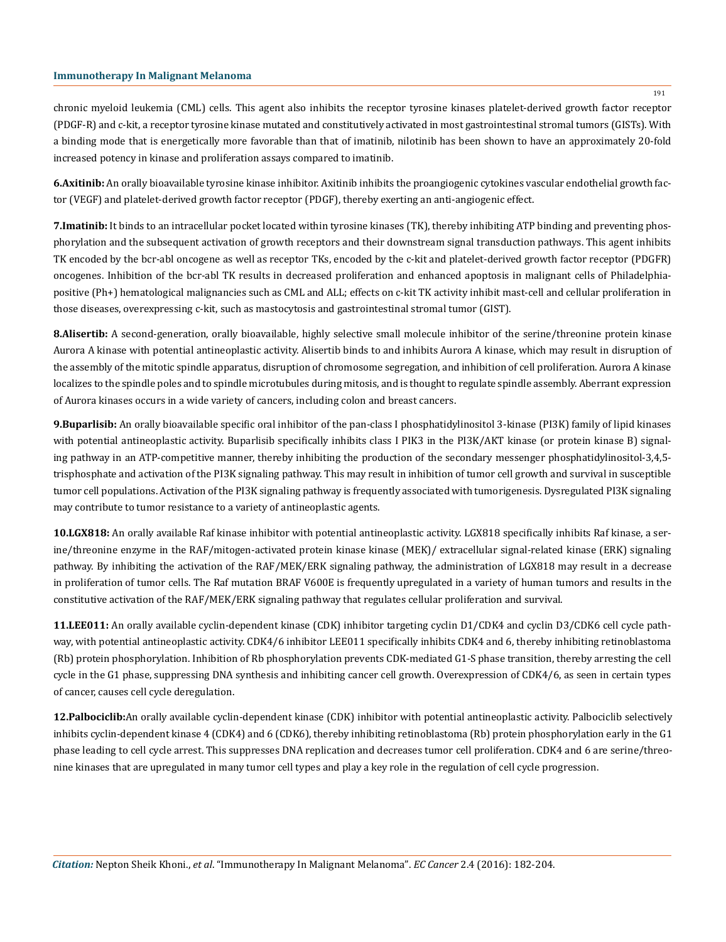chronic myeloid leukemia (CML) cells. This agent also inhibits the receptor tyrosine kinases platelet-derived growth factor receptor (PDGF-R) and c-kit, a receptor tyrosine kinase mutated and constitutively activated in most gastrointestinal stromal tumors (GISTs). With a binding mode that is energetically more favorable than that of imatinib, nilotinib has been shown to have an approximately 20-fold increased potency in kinase and proliferation assays compared to imatinib.

**6.Axitinib:** An orally bioavailable tyrosine kinase inhibitor. Axitinib inhibits the proangiogenic cytokines vascular endothelial growth factor (VEGF) and platelet-derived growth factor receptor (PDGF), thereby exerting an anti-angiogenic effect.

**7.Imatinib:** It binds to an intracellular pocket located within tyrosine kinases (TK), thereby inhibiting ATP binding and preventing phosphorylation and the subsequent activation of growth receptors and their downstream signal transduction pathways. This agent inhibits TK encoded by the bcr-abl oncogene as well as receptor TKs, encoded by the c-kit and platelet-derived growth factor receptor (PDGFR) oncogenes. Inhibition of the bcr-abl TK results in decreased proliferation and enhanced apoptosis in malignant cells of Philadelphiapositive (Ph+) hematological malignancies such as CML and ALL; effects on c-kit TK activity inhibit mast-cell and cellular proliferation in those diseases, overexpressing c-kit, such as mastocytosis and gastrointestinal stromal tumor (GIST).

**8.Alisertib:** A second-generation, orally bioavailable, highly selective small molecule inhibitor of the serine/threonine protein kinase Aurora A kinase with potential antineoplastic activity. Alisertib binds to and inhibits Aurora A kinase, which may result in disruption of the assembly of the mitotic spindle apparatus, disruption of chromosome segregation, and inhibition of cell proliferation. Aurora A kinase localizes to the spindle poles and to spindle microtubules during mitosis, and is thought to regulate spindle assembly. Aberrant expression of Aurora kinases occurs in a wide variety of cancers, including colon and breast cancers.

**9.Buparlisib:** An orally bioavailable specific oral inhibitor of the pan-class I phosphatidylinositol 3-kinase (PI3K) family of lipid kinases with potential antineoplastic activity. Buparlisib specifically inhibits class I PIK3 in the PI3K/AKT kinase (or protein kinase B) signaling pathway in an ATP-competitive manner, thereby inhibiting the production of the secondary messenger phosphatidylinositol-3,4,5 trisphosphate and activation of the PI3K signaling pathway. This may result in inhibition of tumor cell growth and survival in susceptible tumor cell populations. Activation of the PI3K signaling pathway is frequently associated with tumorigenesis. Dysregulated PI3K signaling may contribute to tumor resistance to a variety of antineoplastic agents.

**10.LGX818:** An orally available Raf kinase inhibitor with potential antineoplastic activity. LGX818 specifically inhibits Raf kinase, a serine/threonine enzyme in the RAF/mitogen-activated protein kinase kinase (MEK)/ extracellular signal-related kinase (ERK) signaling pathway. By inhibiting the activation of the RAF/MEK/ERK signaling pathway, the administration of LGX818 may result in a decrease in proliferation of tumor cells. The Raf mutation BRAF V600E is frequently upregulated in a variety of human tumors and results in the constitutive activation of the RAF/MEK/ERK signaling pathway that regulates cellular proliferation and survival.

**11.LEE011:** An orally available cyclin-dependent kinase (CDK) inhibitor targeting cyclin D1/CDK4 and cyclin D3/CDK6 cell cycle pathway, with potential antineoplastic activity. CDK4/6 inhibitor LEE011 specifically inhibits CDK4 and 6, thereby inhibiting retinoblastoma (Rb) protein phosphorylation. Inhibition of Rb phosphorylation prevents CDK-mediated G1-S phase transition, thereby arresting the cell cycle in the G1 phase, suppressing DNA synthesis and inhibiting cancer cell growth. Overexpression of CDK4/6, as seen in certain types of cancer, causes cell cycle deregulation.

**12.Palbociclib:**An orally available cyclin-dependent kinase (CDK) inhibitor with potential antineoplastic activity. Palbociclib selectively inhibits cyclin-dependent kinase 4 (CDK4) and 6 (CDK6), thereby inhibiting retinoblastoma (Rb) protein phosphorylation early in the G1 phase leading to cell cycle arrest. This suppresses DNA replication and decreases tumor cell proliferation. CDK4 and 6 are serine/threonine kinases that are upregulated in many tumor cell types and play a key role in the regulation of cell cycle progression.

*Citation:* Nepton Sheik Khoni., *et al*. "Immunotherapy In Malignant Melanoma". *EC Cancer* 2.4 (2016): 182-204.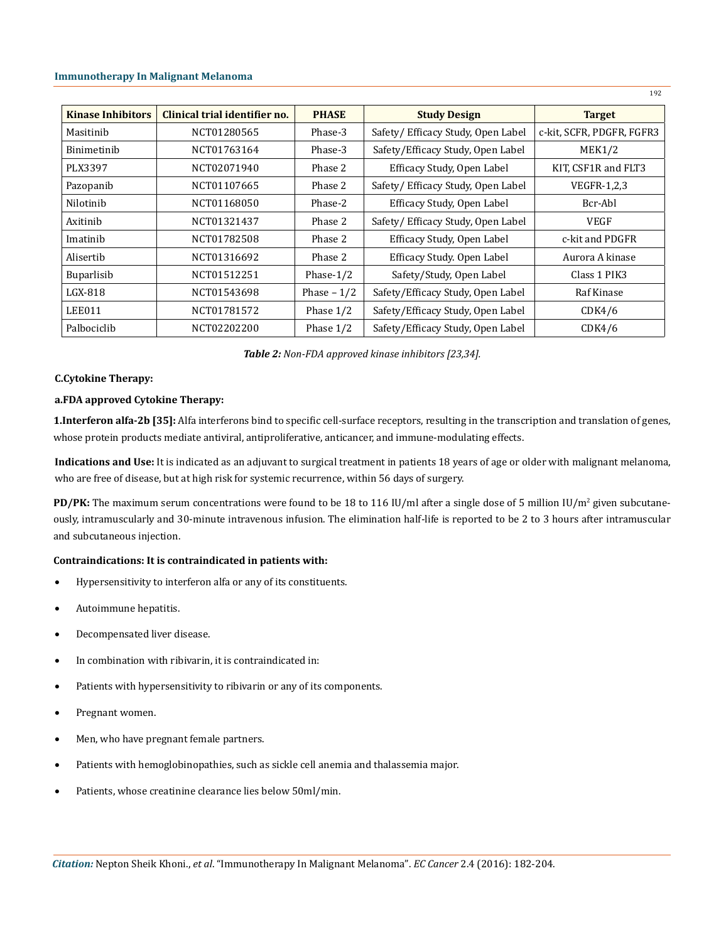| <b>Kinase Inhibitors</b> | Clinical trial identifier no. | <b>PHASE</b> | <b>Study Design</b>                | <b>Target</b>             |
|--------------------------|-------------------------------|--------------|------------------------------------|---------------------------|
| Masitinib                | NCT01280565                   | Phase-3      | Safety/ Efficacy Study, Open Label | c-kit, SCFR, PDGFR, FGFR3 |
| <b>Binimetinib</b>       | NCT01763164                   | Phase-3      | Safety/Efficacy Study, Open Label  | MEK1/2                    |
| PLX3397                  | NCT02071940                   | Phase 2      | Efficacy Study, Open Label         | KIT, CSF1R and FLT3       |
| Pazopanib                | NCT01107665                   | Phase 2      | Safety/Efficacy Study, Open Label  | VEGFR-1,2,3               |
| Nilotinib                | NCT01168050                   | Phase-2      | Efficacy Study, Open Label         | Bcr-Abl                   |
| Axitinib                 | NCT01321437                   | Phase 2      | Safety/Efficacy Study, Open Label  | VEGF                      |
| Imatinih                 | NCT01782508                   | Phase 2      | Efficacy Study, Open Label         | c-kit and PDGFR           |
| Alisertib                | NCT01316692                   | Phase 2      | Efficacy Study. Open Label         | Aurora A kinase           |
| <b>Buparlisib</b>        | NCT01512251                   | Phase- $1/2$ | Safety/Study, Open Label           | Class 1 PIK3              |
| LGX-818                  | NCT01543698                   | Phase $-1/2$ | Safety/Efficacy Study, Open Label  | Raf Kinase                |
| LEE011                   | NCT01781572                   | Phase $1/2$  | Safety/Efficacy Study, Open Label  | CDK4/6                    |
| Palbociclib              | NCT02202200                   | Phase $1/2$  | Safety/Efficacy Study, Open Label  | CDK4/6                    |

*Table 2: Non-FDA approved kinase inhibitors [23,34].*

# **C.Cytokine Therapy:**

# **a.FDA approved Cytokine Therapy:**

**1.Interferon alfa-2b [35]:** Alfa interferons bind to specific cell-surface receptors, resulting in the transcription and translation of genes, whose protein products mediate antiviral, antiproliferative, anticancer, and immune-modulating effects.

**Indications and Use:** It is indicated as an adjuvant to surgical treatment in patients 18 years of age or older with malignant melanoma, who are free of disease, but at high risk for systemic recurrence, within 56 days of surgery.

**PD/PK:** The maximum serum concentrations were found to be 18 to 116 IU/ml after a single dose of 5 million IU/m<sup>2</sup> given subcutaneously, intramuscularly and 30-minute intravenous infusion. The elimination half-life is reported to be 2 to 3 hours after intramuscular and subcutaneous injection.

### **Contraindications: It is contraindicated in patients with:**

- Hypersensitivity to interferon alfa or any of its constituents.
- Autoimmune hepatitis.
- Decompensated liver disease.
- In combination with ribivarin, it is contraindicated in:
- Patients with hypersensitivity to ribivarin or any of its components.
- Pregnant women.
- Men, who have pregnant female partners.
- Patients with hemoglobinopathies, such as sickle cell anemia and thalassemia major.
- Patients, whose creatinine clearance lies below 50ml/min.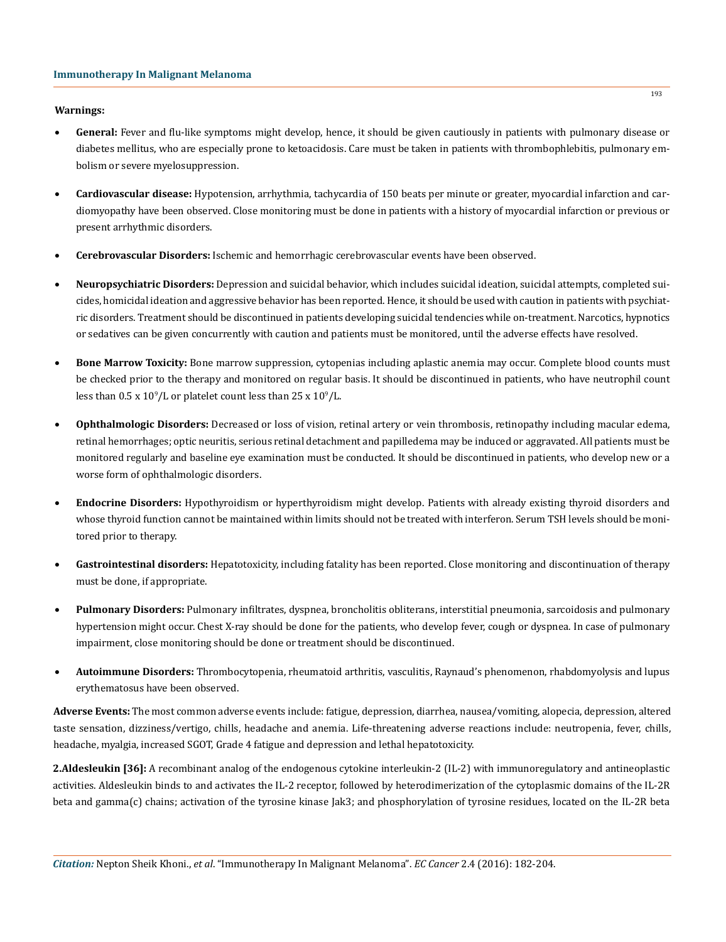#### **Warnings:**

- **General:** Fever and flu-like symptoms might develop, hence, it should be given cautiously in patients with pulmonary disease or diabetes mellitus, who are especially prone to ketoacidosis. Care must be taken in patients with thrombophlebitis, pulmonary embolism or severe myelosuppression.
- **Cardiovascular disease:** Hypotension, arrhythmia, tachycardia of 150 beats per minute or greater, myocardial infarction and cardiomyopathy have been observed. Close monitoring must be done in patients with a history of myocardial infarction or previous or present arrhythmic disorders.
- • **Cerebrovascular Disorders:** Ischemic and hemorrhagic cerebrovascular events have been observed.
- • **Neuropsychiatric Disorders:** Depression and suicidal behavior, which includes suicidal ideation, suicidal attempts, completed suicides, homicidal ideation and aggressive behavior has been reported. Hence, it should be used with caution in patients with psychiatric disorders. Treatment should be discontinued in patients developing suicidal tendencies while on-treatment. Narcotics, hypnotics or sedatives can be given concurrently with caution and patients must be monitored, until the adverse effects have resolved.
- **Bone Marrow Toxicity:** Bone marrow suppression, cytopenias including aplastic anemia may occur. Complete blood counts must be checked prior to the therapy and monitored on regular basis. It should be discontinued in patients, who have neutrophil count less than  $0.5 \times 10^9$ /L or platelet count less than 25 x  $10^9$ /L.
- Ophthalmologic Disorders: Decreased or loss of vision, retinal artery or vein thrombosis, retinopathy including macular edema, retinal hemorrhages; optic neuritis, serious retinal detachment and papilledema may be induced or aggravated. All patients must be monitored regularly and baseline eye examination must be conducted. It should be discontinued in patients, who develop new or a worse form of ophthalmologic disorders.
- **Endocrine Disorders:** Hypothyroidism or hyperthyroidism might develop. Patients with already existing thyroid disorders and whose thyroid function cannot be maintained within limits should not be treated with interferon. Serum TSH levels should be monitored prior to therapy.
- Gastrointestinal disorders: Hepatotoxicity, including fatality has been reported. Close monitoring and discontinuation of therapy must be done, if appropriate.
- Pulmonary Disorders: Pulmonary infiltrates, dyspnea, broncholitis obliterans, interstitial pneumonia, sarcoidosis and pulmonary hypertension might occur. Chest X-ray should be done for the patients, who develop fever, cough or dyspnea. In case of pulmonary impairment, close monitoring should be done or treatment should be discontinued.
- • **Autoimmune Disorders:** Thrombocytopenia, rheumatoid arthritis, vasculitis, Raynaud's phenomenon, rhabdomyolysis and lupus erythematosus have been observed.

**Adverse Events:** The most common adverse events include: fatigue, depression, diarrhea, nausea/vomiting, alopecia, depression, altered taste sensation, dizziness/vertigo, chills, headache and anemia. Life-threatening adverse reactions include: neutropenia, fever, chills, headache, myalgia, increased SGOT, Grade 4 fatigue and depression and lethal hepatotoxicity.

**2.Aldesleukin [36]:** A recombinant analog of the endogenous cytokine interleukin-2 (IL-2) with immunoregulatory and antineoplastic activities. Aldesleukin binds to and activates the IL-2 receptor, followed by heterodimerization of the cytoplasmic domains of the IL-2R beta and gamma(c) chains; activation of the tyrosine kinase Jak3; and phosphorylation of tyrosine residues, located on the IL-2R beta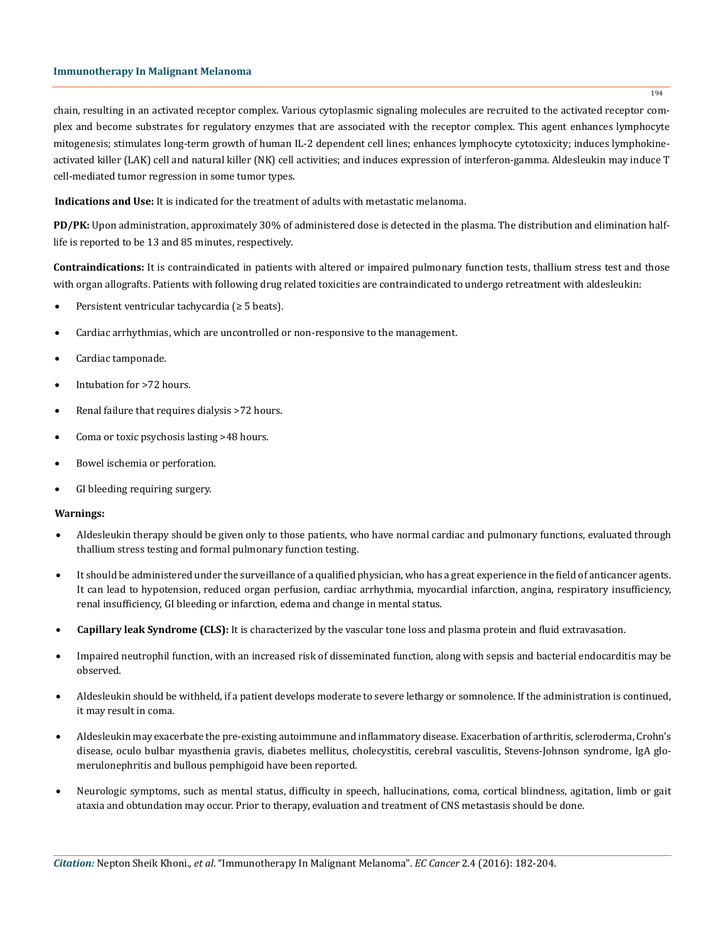chain, resulting in an activated receptor complex. Various cytoplasmic signaling molecules are recruited to the activated receptor complex and become substrates for regulatory enzymes that are associated with the receptor complex. This agent enhances lymphocyte mitogenesis; stimulates long-term growth of human IL-2 dependent cell lines; enhances lymphocyte cytotoxicity; induces lymphokineactivated killer (LAK) cell and natural killer (NK) cell activities; and induces expression of interferon-gamma. Aldesleukin may induce T cell-mediated tumor regression in some tumor types.

**Indications and Use:** It is indicated for the treatment of adults with metastatic melanoma.

**PD/PK:** Upon administration, approximately 30% of administered dose is detected in the plasma. The distribution and elimination halflife is reported to be 13 and 85 minutes, respectively.

**Contraindications:** It is contraindicated in patients with altered or impaired pulmonary function tests, thallium stress test and those with organ allografts. Patients with following drug related toxicities are contraindicated to undergo retreatment with aldesleukin:

- Persistent ventricular tachycardia ( $\geq 5$  beats).
- Cardiac arrhythmias, which are uncontrolled or non-responsive to the management.
- Cardiac tamponade.
- Intubation for >72 hours.
- Renal failure that requires dialysis >72 hours.
- Coma or toxic psychosis lasting >48 hours.
- Bowel ischemia or perforation.
- GI bleeding requiring surgery.

### **Warnings:**

- Aldesleukin therapy should be given only to those patients, who have normal cardiac and pulmonary functions, evaluated through thallium stress testing and formal pulmonary function testing.
- • It should be administered under the surveillance of a qualified physician, who has a great experience in the field of anticancer agents. It can lead to hypotension, reduced organ perfusion, cardiac arrhythmia, myocardial infarction, angina, respiratory insufficiency, renal insufficiency, GI bleeding or infarction, edema and change in mental status.
- **Capillary leak Syndrome (CLS):** It is characterized by the vascular tone loss and plasma protein and fluid extravasation.
- Impaired neutrophil function, with an increased risk of disseminated function, along with sepsis and bacterial endocarditis may be observed.
- Aldesleukin should be withheld, if a patient develops moderate to severe lethargy or somnolence. If the administration is continued, it may result in coma.
- Aldesleukin may exacerbate the pre-existing autoimmune and inflammatory disease. Exacerbation of arthritis, scleroderma, Crohn's disease, oculo bulbar myasthenia gravis, diabetes mellitus, cholecystitis, cerebral vasculitis, Stevens-Johnson syndrome, IgA glomerulonephritis and bullous pemphigoid have been reported.
- Neurologic symptoms, such as mental status, difficulty in speech, hallucinations, coma, cortical blindness, agitation, limb or gait ataxia and obtundation may occur. Prior to therapy, evaluation and treatment of CNS metastasis should be done.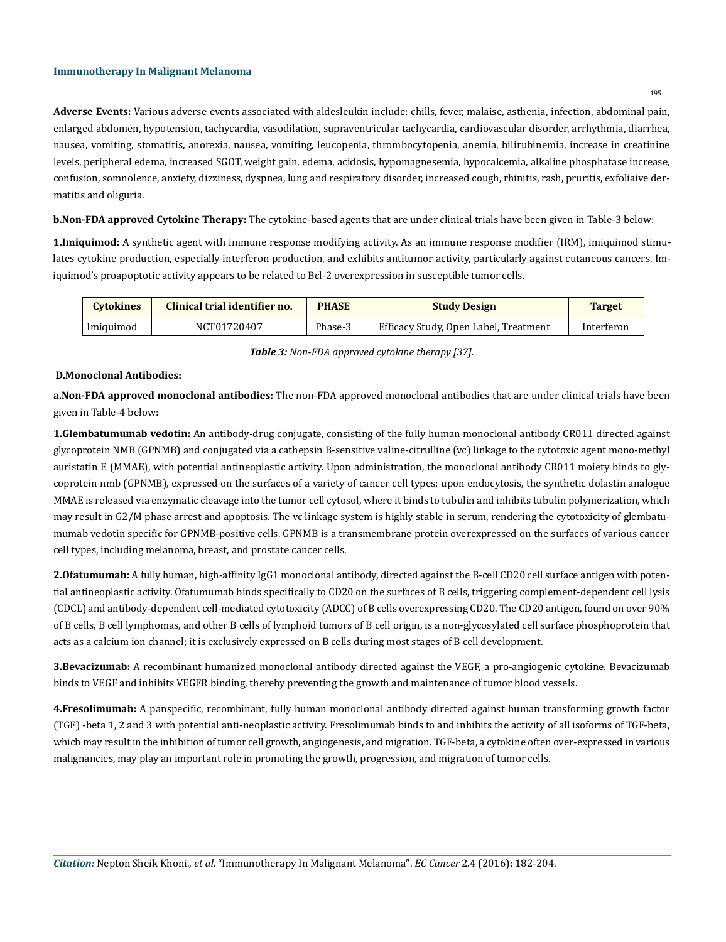**Adverse Events:** Various adverse events associated with aldesleukin include: chills, fever, malaise, asthenia, infection, abdominal pain, enlarged abdomen, hypotension, tachycardia, vasodilation, supraventricular tachycardia, cardiovascular disorder, arrhythmia, diarrhea, nausea, vomiting, stomatitis, anorexia, nausea, vomiting, leucopenia, thrombocytopenia, anemia, bilirubinemia, increase in creatinine levels, peripheral edema, increased SGOT, weight gain, edema, acidosis, hypomagnesemia, hypocalcemia, alkaline phosphatase increase, confusion, somnolence, anxiety, dizziness, dyspnea, lung and respiratory disorder, increased cough, rhinitis, rash, pruritis, exfoliaive dermatitis and oliguria.

**b.Non-FDA approved Cytokine Therapy:** The cytokine-based agents that are under clinical trials have been given in Table-3 below:

**1.Imiquimod:** A synthetic agent with immune response modifying activity. As an immune response modifier (IRM), imiquimod stimulates cytokine production, especially interferon production, and exhibits antitumor activity, particularly against cutaneous cancers. Imiquimod's proapoptotic activity appears to be related to Bcl-2 overexpression in susceptible tumor cells.

| <b>Cytokines</b> | Clinical trial identifier no. | <b>PHASE</b> | <b>Study Design</b>                   | <b>Target</b> |
|------------------|-------------------------------|--------------|---------------------------------------|---------------|
| Imiguimod        | NCT01720407                   | Phase-3      | Efficacy Study, Open Label, Treatment | Interferon    |

*Table 3: Non-FDA approved cytokine therapy [37].*

#### **D.Monoclonal Antibodies:**

**a.Non-FDA approved monoclonal antibodies:** The non-FDA approved monoclonal antibodies that are under clinical trials have been given in Table-4 below:

**1.Glembatumumab vedotin:** An antibody-drug conjugate, consisting of the fully human monoclonal antibody CR011 directed against glycoprotein NMB (GPNMB) and conjugated via a cathepsin B-sensitive valine-citrulline (vc) linkage to the cytotoxic agent mono-methyl auristatin E (MMAE), with potential antineoplastic activity. Upon administration, the monoclonal antibody CR011 moiety binds to glycoprotein nmb (GPNMB), expressed on the surfaces of a variety of cancer cell types; upon endocytosis, the synthetic dolastin analogue MMAE is released via enzymatic cleavage into the tumor cell cytosol, where it binds to tubulin and inhibits tubulin polymerization, which may result in G2/M phase arrest and apoptosis. The vc linkage system is highly stable in serum, rendering the cytotoxicity of glembatumumab vedotin specific for GPNMB-positive cells. GPNMB is a transmembrane protein overexpressed on the surfaces of various cancer cell types, including melanoma, breast, and prostate cancer cells.

**2.Ofatumumab:** A fully human, high-affinity IgG1 monoclonal antibody, directed against the B-cell CD20 cell surface antigen with potential antineoplastic activity. Ofatumumab binds specifically to CD20 on the surfaces of B cells, triggering complement-dependent cell lysis (CDCL) and antibody-dependent cell-mediated cytotoxicity (ADCC) of B cells overexpressing CD20. The CD20 antigen, found on over 90% of B cells, B cell lymphomas, and other B cells of lymphoid tumors of B cell origin, is a non-glycosylated cell surface phosphoprotein that acts as a calcium ion channel; it is exclusively expressed on B cells during most stages of B cell development.

**3.Bevacizumab:** A recombinant humanized monoclonal antibody directed against the VEGF, a pro-angiogenic cytokine. Bevacizumab binds to VEGF and inhibits VEGFR binding, thereby preventing the growth and maintenance of tumor blood vessels.

**4.Fresolimumab:** A panspecific, recombinant, fully human monoclonal antibody directed against human transforming growth factor (TGF) -beta 1, 2 and 3 with potential anti-neoplastic activity. Fresolimumab binds to and inhibits the activity of all isoforms of TGF-beta, which may result in the inhibition of tumor cell growth, angiogenesis, and migration. TGF-beta, a cytokine often over-expressed in various malignancies, may play an important role in promoting the growth, progression, and migration of tumor cells.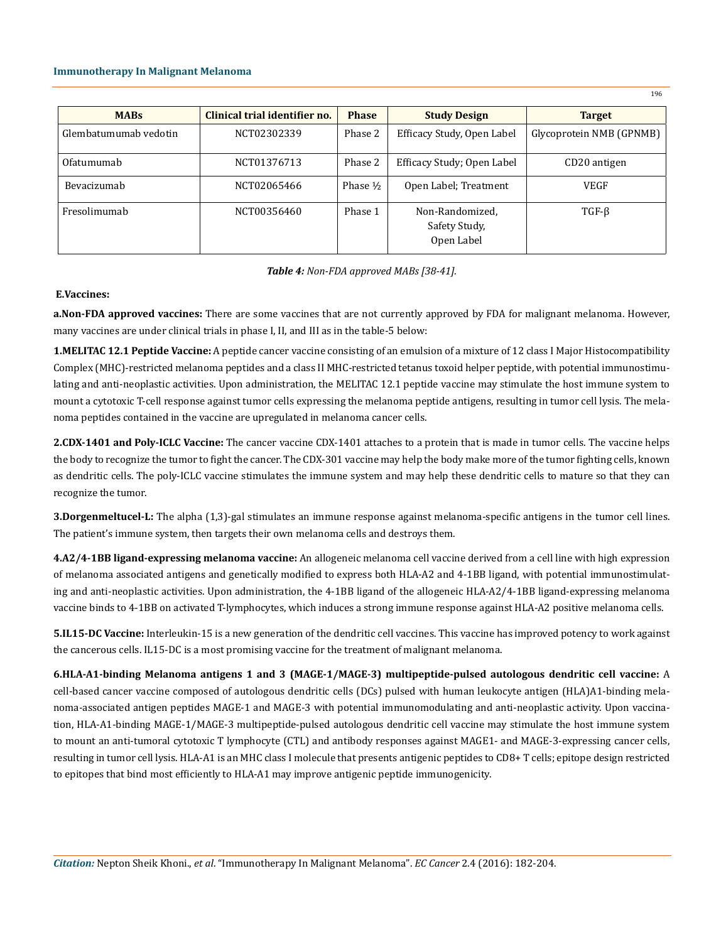| <b>MABs</b>           | Clinical trial identifier no. | <b>Phase</b>        | <b>Study Design</b>                            | <b>Target</b>            |
|-----------------------|-------------------------------|---------------------|------------------------------------------------|--------------------------|
| Glembatumumab vedotin | NCT02302339                   | Phase 2             | Efficacy Study, Open Label                     | Glycoprotein NMB (GPNMB) |
| Ofatumumab            | NCT01376713                   | Phase 2             | Efficacy Study; Open Label                     | CD20 antigen             |
| Bevacizumab           | NCT02065466                   | Phase $\frac{1}{2}$ | Open Label; Treatment                          | <b>VEGF</b>              |
| Fresolimumab          | NCT00356460                   | Phase 1             | Non-Randomized,<br>Safety Study,<br>Open Label | $TGF-\beta$              |

*Table 4: Non-FDA approved MABs [38-41].*

### **E.Vaccines:**

**a.Non-FDA approved vaccines:** There are some vaccines that are not currently approved by FDA for malignant melanoma. However, many vaccines are under clinical trials in phase I, II, and III as in the table-5 below:

**1.MELITAC 12.1 Peptide Vaccine:** A peptide cancer vaccine consisting of an emulsion of a mixture of 12 class I Major Histocompatibility Complex (MHC)-restricted melanoma peptides and a class II MHC-restricted tetanus toxoid helper peptide, with potential immunostimulating and anti-neoplastic activities. Upon administration, the MELITAC 12.1 peptide vaccine may stimulate the host immune system to mount a cytotoxic T-cell response against tumor cells expressing the melanoma peptide antigens, resulting in tumor cell lysis. The melanoma peptides contained in the vaccine are upregulated in melanoma cancer cells.

**2.CDX-1401 and Poly-ICLC Vaccine:** The cancer vaccine CDX-1401 attaches to a protein that is made in tumor cells. The vaccine helps the body to recognize the tumor to fight the cancer. The CDX-301 vaccine may help the body make more of the tumor fighting cells, known as dendritic cells. The poly-ICLC vaccine stimulates the immune system and may help these dendritic cells to mature so that they can recognize the tumor.

**3.Dorgenmeltucel-L:** The alpha (1,3)-gal stimulates an immune response against melanoma-specific antigens in the tumor cell lines. The patient's immune system, then targets their own melanoma cells and destroys them.

**4.A2/4-1BB ligand-expressing melanoma vaccine:** An allogeneic melanoma cell vaccine derived from a cell line with high expression of melanoma associated antigens and genetically modified to express both HLA-A2 and 4-1BB ligand, with potential immunostimulating and anti-neoplastic activities. Upon administration, the 4-1BB ligand of the allogeneic HLA-A2/4-1BB ligand-expressing melanoma vaccine binds to 4-1BB on activated T-lymphocytes, which induces a strong immune response against HLA-A2 positive melanoma cells.

**5.IL15-DC Vaccine:** Interleukin-15 is a new generation of the dendritic cell vaccines. This vaccine has improved potency to work against the cancerous cells. IL15-DC is a most promising vaccine for the treatment of malignant melanoma.

**6.HLA-A1-binding Melanoma antigens 1 and 3 (MAGE-1/MAGE-3) multipeptide-pulsed autologous dendritic cell vaccine:** A cell-based cancer vaccine composed of autologous dendritic cells (DCs) pulsed with human leukocyte antigen (HLA)A1-binding melanoma-associated antigen peptides MAGE-1 and MAGE-3 with potential immunomodulating and anti-neoplastic activity. Upon vaccination, HLA-A1-binding MAGE-1/MAGE-3 multipeptide-pulsed autologous dendritic cell vaccine may stimulate the host immune system to mount an anti-tumoral cytotoxic T lymphocyte (CTL) and antibody responses against MAGE1- and MAGE-3-expressing cancer cells, resulting in tumor cell lysis. HLA-A1 is an MHC class I molecule that presents antigenic peptides to CD8+ T cells; epitope design restricted to epitopes that bind most efficiently to HLA-A1 may improve antigenic peptide immunogenicity.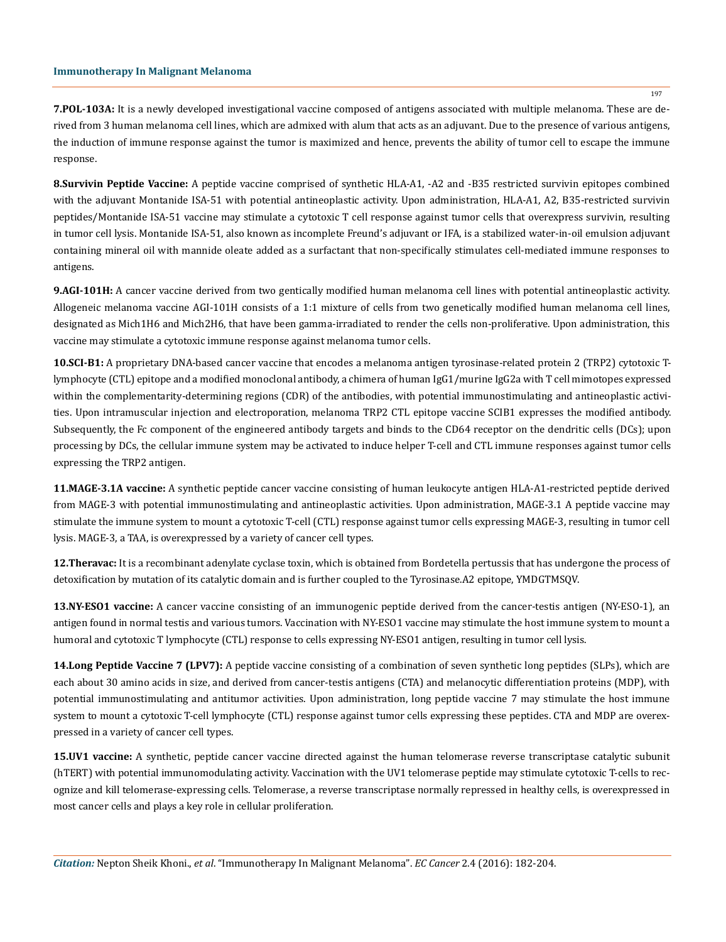197

**7.POL-103A:** It is a newly developed investigational vaccine composed of antigens associated with multiple melanoma. These are derived from 3 human melanoma cell lines, which are admixed with alum that acts as an adjuvant. Due to the presence of various antigens, the induction of immune response against the tumor is maximized and hence, prevents the ability of tumor cell to escape the immune response.

**8.Survivin Peptide Vaccine:** A peptide vaccine comprised of synthetic HLA-A1, -A2 and -B35 restricted survivin epitopes combined with the adjuvant Montanide ISA-51 with potential antineoplastic activity. Upon administration, HLA-A1, A2, B35-restricted survivin peptides/Montanide ISA-51 vaccine may stimulate a cytotoxic T cell response against tumor cells that overexpress survivin, resulting in tumor cell lysis. Montanide ISA-51, also known as incomplete Freund's adjuvant or IFA, is a stabilized water-in-oil emulsion adjuvant containing mineral oil with mannide oleate added as a surfactant that non-specifically stimulates cell-mediated immune responses to antigens.

**9.AGI-101H:** A cancer vaccine derived from two gentically modified human melanoma cell lines with potential antineoplastic activity. Allogeneic melanoma vaccine AGI-101H consists of a 1:1 mixture of cells from two genetically modified human melanoma cell lines, designated as Mich1H6 and Mich2H6, that have been gamma-irradiated to render the cells non-proliferative. Upon administration, this vaccine may stimulate a cytotoxic immune response against melanoma tumor cells.

**10.SCI-B1:** A proprietary DNA-based cancer vaccine that encodes a melanoma antigen tyrosinase-related protein 2 (TRP2) cytotoxic Tlymphocyte (CTL) epitope and a modified monoclonal antibody, a chimera of human IgG1/murine IgG2a with T cell mimotopes expressed within the complementarity-determining regions (CDR) of the antibodies, with potential immunostimulating and antineoplastic activities. Upon intramuscular injection and electroporation, melanoma TRP2 CTL epitope vaccine SCIB1 expresses the modified antibody. Subsequently, the Fc component of the engineered antibody targets and binds to the CD64 receptor on the dendritic cells (DCs); upon processing by DCs, the cellular immune system may be activated to induce helper T-cell and CTL immune responses against tumor cells expressing the TRP2 antigen.

**11.MAGE-3.1A vaccine:** A synthetic peptide cancer vaccine consisting of human leukocyte antigen HLA-A1-restricted peptide derived from MAGE-3 with potential immunostimulating and antineoplastic activities. Upon administration, MAGE-3.1 A peptide vaccine may stimulate the immune system to mount a cytotoxic T-cell (CTL) response against tumor cells expressing MAGE-3, resulting in tumor cell lysis. MAGE-3, a TAA, is overexpressed by a variety of cancer cell types.

**12.Theravac:** It is a recombinant adenylate cyclase toxin, which is obtained from Bordetella pertussis that has undergone the process of detoxification by mutation of its catalytic domain and is further coupled to the Tyrosinase.A2 epitope, YMDGTMSQV.

**13.NY-ESO1 vaccine:** A cancer vaccine consisting of an immunogenic peptide derived from the cancer-testis antigen (NY-ESO-1), an antigen found in normal testis and various tumors. Vaccination with NY-ESO1 vaccine may stimulate the host immune system to mount a humoral and cytotoxic T lymphocyte (CTL) response to cells expressing NY-ESO1 antigen, resulting in tumor cell lysis.

**14.Long Peptide Vaccine 7 (LPV7):** A peptide vaccine consisting of a combination of seven synthetic long peptides (SLPs), which are each about 30 amino acids in size, and derived from cancer-testis antigens (CTA) and melanocytic differentiation proteins (MDP), with potential immunostimulating and antitumor activities. Upon administration, long peptide vaccine 7 may stimulate the host immune system to mount a cytotoxic T-cell lymphocyte (CTL) response against tumor cells expressing these peptides. CTA and MDP are overexpressed in a variety of cancer cell types.

**15.UV1 vaccine:** A synthetic, peptide cancer vaccine directed against the human telomerase reverse transcriptase catalytic subunit (hTERT) with potential immunomodulating activity. Vaccination with the UV1 telomerase peptide may stimulate cytotoxic T-cells to recognize and kill telomerase-expressing cells. Telomerase, a reverse transcriptase normally repressed in healthy cells, is overexpressed in most cancer cells and plays a key role in cellular proliferation.

*Citation:* Nepton Sheik Khoni., *et al*. "Immunotherapy In Malignant Melanoma". *EC Cancer* 2.4 (2016): 182-204.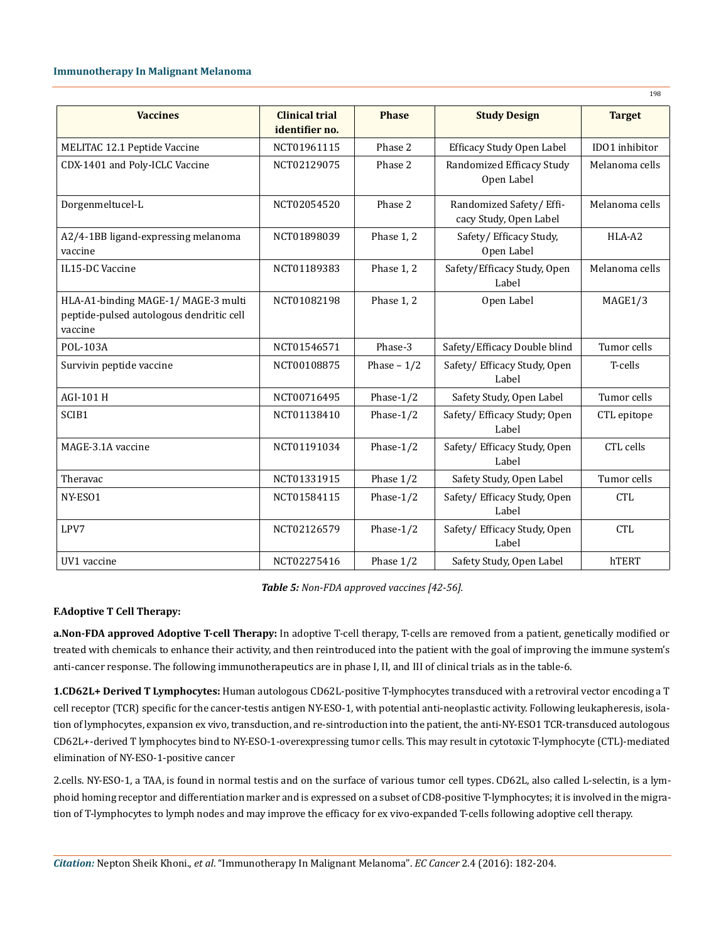| <b>Vaccines</b>                                                                            | <b>Clinical trial</b><br>identifier no. | <b>Phase</b> | <b>Study Design</b>                                | <b>Target</b>  |
|--------------------------------------------------------------------------------------------|-----------------------------------------|--------------|----------------------------------------------------|----------------|
| MELITAC 12.1 Peptide Vaccine                                                               | NCT01961115                             | Phase 2      | Efficacy Study Open Label                          | ID01 inhibitor |
| CDX-1401 and Poly-ICLC Vaccine                                                             | NCT02129075                             | Phase 2      | Randomized Efficacy Study<br>Open Label            | Melanoma cells |
| Dorgenmeltucel-L                                                                           | NCT02054520                             | Phase 2      | Randomized Safety/ Effi-<br>cacy Study, Open Label | Melanoma cells |
| A2/4-1BB ligand-expressing melanoma<br>vaccine                                             | NCT01898039                             | Phase 1, 2   | Safety/ Efficacy Study,<br>Open Label              | HLA-A2         |
| IL15-DC Vaccine                                                                            | NCT01189383                             | Phase 1, 2   | Safety/Efficacy Study, Open<br>Label               | Melanoma cells |
| HLA-A1-binding MAGE-1/ MAGE-3 multi<br>peptide-pulsed autologous dendritic cell<br>vaccine | NCT01082198                             | Phase 1, 2   | Open Label                                         | MAGE1/3        |
| POL-103A                                                                                   | NCT01546571                             | Phase-3      | Safety/Efficacy Double blind                       | Tumor cells    |
| Survivin peptide vaccine                                                                   | NCT00108875                             | Phase $-1/2$ | Safety/Efficacy Study, Open<br>Label               | T-cells        |
| AGI-101 H                                                                                  | NCT00716495                             | Phase-1/2    | Safety Study, Open Label                           | Tumor cells    |
| SCIB1                                                                                      | NCT01138410                             | Phase-1/2    | Safety/ Efficacy Study; Open<br>Label              | CTL epitope    |
| MAGE-3.1A vaccine                                                                          | NCT01191034                             | Phase-1/2    | Safety/ Efficacy Study, Open<br>Label              | CTL cells      |
| Theravac                                                                                   | NCT01331915                             | Phase 1/2    | Safety Study, Open Label                           | Tumor cells    |
| NY-ESO1                                                                                    | NCT01584115                             | Phase-1/2    | Safety/ Efficacy Study, Open<br>Label              | <b>CTL</b>     |
| LPV7                                                                                       | NCT02126579                             | Phase-1/2    | Safety/ Efficacy Study, Open<br>Label              | <b>CTL</b>     |
| UV1 vaccine                                                                                | NCT02275416                             | Phase 1/2    | Safety Study, Open Label                           | hTERT          |

*Table 5: Non-FDA approved vaccines [42-56].*

# **F.Adoptive T Cell Therapy:**

**a.Non-FDA approved Adoptive T-cell Therapy:** In adoptive T-cell therapy, T-cells are removed from a patient, genetically modified or treated with chemicals to enhance their activity, and then reintroduced into the patient with the goal of improving the immune system's anti-cancer response. The following immunotherapeutics are in phase I, II, and III of clinical trials as in the table-6.

**1.CD62L+ Derived T Lymphocytes:** Human autologous CD62L-positive T-lymphocytes transduced with a retroviral vector encoding a T cell receptor (TCR) specific for the cancer-testis antigen NY-ESO-1, with potential anti-neoplastic activity. Following leukapheresis, isolation of lymphocytes, expansion ex vivo, transduction, and re-sintroduction into the patient, the anti-NY-ESO1 TCR-transduced autologous CD62L+-derived T lymphocytes bind to NY-ESO-1-overexpressing tumor cells. This may result in cytotoxic T-lymphocyte (CTL)-mediated elimination of NY-ESO-1-positive cancer

2.cells. NY-ESO-1, a TAA, is found in normal testis and on the surface of various tumor cell types. CD62L, also called L-selectin, is a lymphoid homing receptor and differentiation marker and is expressed on a subset of CD8-positive T-lymphocytes; it is involved in the migration of T-lymphocytes to lymph nodes and may improve the efficacy for ex vivo-expanded T-cells following adoptive cell therapy.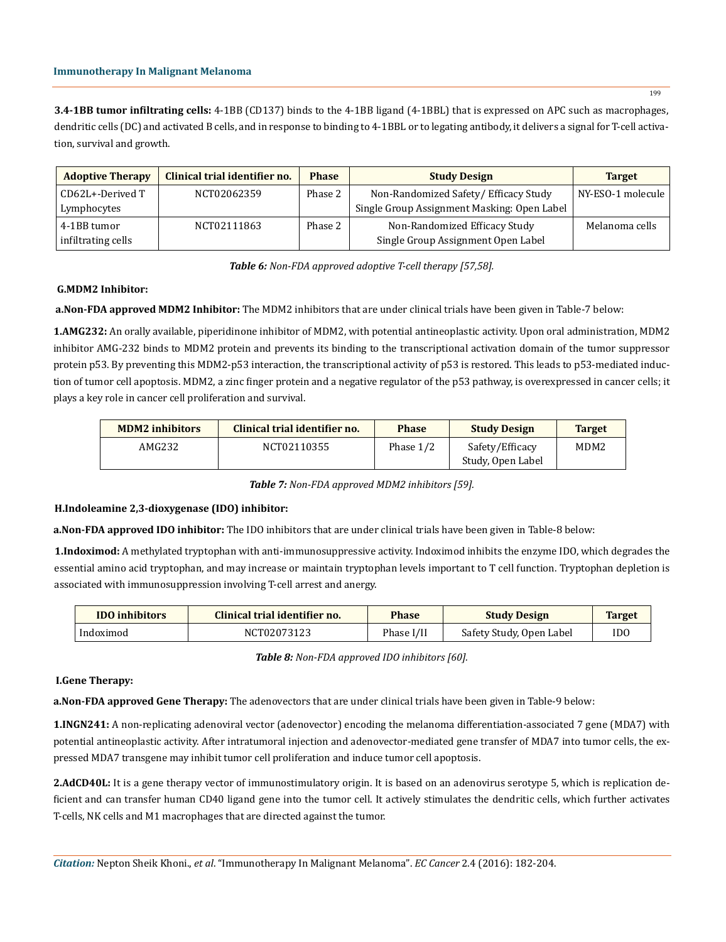**3.4-1BB tumor infiltrating cells:** 4-1BB (CD137) binds to the 4-1BB ligand (4-1BBL) that is expressed on APC such as macrophages, dendritic cells (DC) and activated B cells, and in response to binding to 4-1BBL or to legating antibody, it delivers a signal for T-cell activation, survival and growth.

| <b>Adoptive Therapy</b> | Clinical trial identifier no. | <b>Phase</b> | <b>Study Design</b>                         | <b>Target</b>       |
|-------------------------|-------------------------------|--------------|---------------------------------------------|---------------------|
| CD62L+-Derived T        | NCT02062359                   | Phase 2      | Non-Randomized Safety/ Efficacy Study       | $NY-ESO-1$ molecule |
| Lymphocytes             |                               |              | Single Group Assignment Masking: Open Label |                     |
| 4-1BB tumor             | NCT02111863                   | Phase 2      | Non-Randomized Efficacy Study               | Melanoma cells      |
| infiltrating cells      |                               |              | Single Group Assignment Open Label          |                     |

*Table 6: Non-FDA approved adoptive T-cell therapy [57,58].*

# **G.MDM2 Inhibitor:**

**a.Non-FDA approved MDM2 Inhibitor:** The MDM2 inhibitors that are under clinical trials have been given in Table-7 below:

**1.AMG232:** An orally available, piperidinone inhibitor of MDM2, with potential antineoplastic activity. Upon oral administration, MDM2 inhibitor AMG-232 binds to MDM2 protein and prevents its binding to the transcriptional activation domain of the tumor suppressor protein p53. By preventing this MDM2-p53 interaction, the transcriptional activity of p53 is restored. This leads to p53-mediated induction of tumor cell apoptosis. MDM2, a zinc finger protein and a negative regulator of the p53 pathway, is overexpressed in cancer cells; it plays a key role in cancer cell proliferation and survival.

| <b>MDM2</b> inhibitors | Clinical trial identifier no. | <b>Phase</b> | <b>Study Design</b> | <b>Target</b>    |
|------------------------|-------------------------------|--------------|---------------------|------------------|
| AMG232                 | NCT02110355                   | Phase $1/2$  | Safety/Efficacy     | MDM <sub>2</sub> |
|                        |                               |              | Study, Open Label   |                  |

*Table 7: Non-FDA approved MDM2 inhibitors [59].*

# **H.Indoleamine 2,3-dioxygenase (IDO) inhibitor:**

**a.Non-FDA approved IDO inhibitor:** The IDO inhibitors that are under clinical trials have been given in Table-8 below:

**1.Indoximod:** A methylated tryptophan with anti-immunosuppressive activity. Indoximod inhibits the enzyme IDO, which degrades the essential amino acid tryptophan, and may increase or maintain tryptophan levels important to T cell function. Tryptophan depletion is associated with immunosuppression involving T-cell arrest and anergy.

| <b>IDO</b> inhibitors | Clinical trial identifier no. | <b>Phase</b> | <b>Study Design</b>      | <b>Target</b> |
|-----------------------|-------------------------------|--------------|--------------------------|---------------|
| Indoximod             | NCT02073123                   | Phase I/II   | Safety Study, Open Label | IDO           |

*Table 8: Non-FDA approved IDO inhibitors [60].*

### **I.Gene Therapy:**

**a.Non-FDA approved Gene Therapy:** The adenovectors that are under clinical trials have been given in Table-9 below:

**1.INGN241:** A non-replicating adenoviral vector (adenovector) encoding the melanoma differentiation-associated 7 gene (MDA7) with potential antineoplastic activity. After intratumoral injection and adenovector-mediated gene transfer of MDA7 into tumor cells, the expressed MDA7 transgene may inhibit tumor cell proliferation and induce tumor cell apoptosis.

**2.AdCD40L:** It is a gene therapy vector of immunostimulatory origin. It is based on an adenovirus serotype 5, which is replication deficient and can transfer human CD40 ligand gene into the tumor cell. It actively stimulates the dendritic cells, which further activates T-cells, NK cells and M1 macrophages that are directed against the tumor.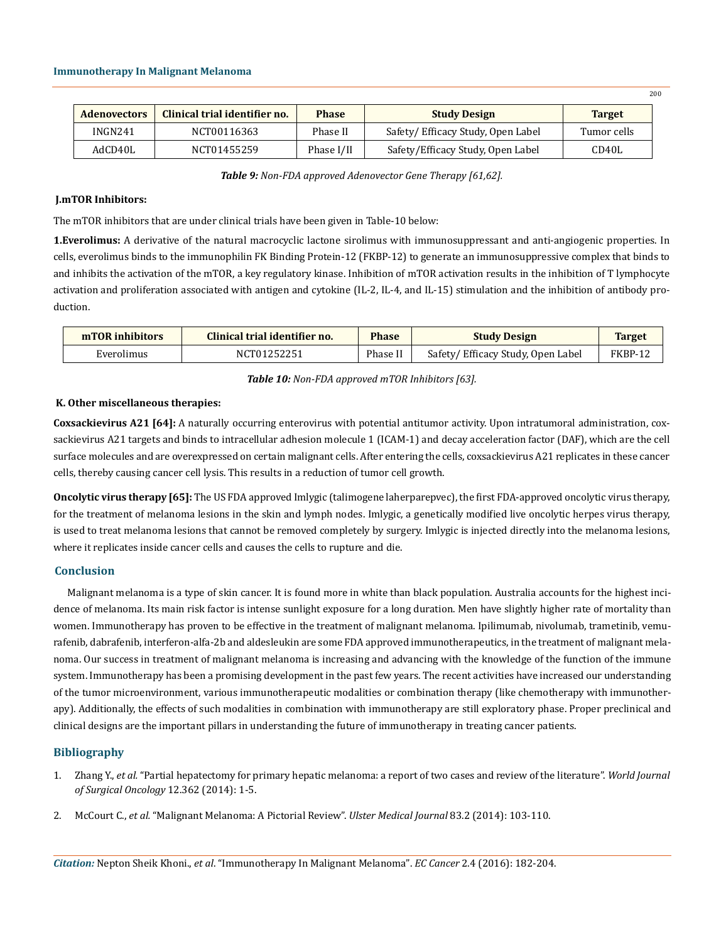| <b>Adenovectors</b> | Clinical trial identifier no. | <b>Phase</b> | <b>Study Design</b>                | <b>Target</b> |
|---------------------|-------------------------------|--------------|------------------------------------|---------------|
| INGN241             | NCT00116363                   | Phase II     | Safety/ Efficacy Study, Open Label | Tumor cells   |
| AdCD40L             | NCT01455259                   | Phase I/II   | Safety/Efficacy Study, Open Label  | CD40L         |

*Table 9: Non-FDA approved Adenovector Gene Therapy [61,62].*

### **J.mTOR Inhibitors:**

The mTOR inhibitors that are under clinical trials have been given in Table-10 below:

**1.Everolimus:** A derivative of the natural macrocyclic lactone sirolimus with immunosuppressant and anti-angiogenic properties. In cells, everolimus binds to the immunophilin FK Binding Protein-12 (FKBP-12) to generate an immunosuppressive complex that binds to and inhibits the activation of the mTOR, a key regulatory kinase. Inhibition of mTOR activation results in the inhibition of T lymphocyte activation and proliferation associated with antigen and cytokine (IL-2, IL-4, and IL-15) stimulation and the inhibition of antibody production.

| mTOR inhibitors | Clinical trial identifier no. | <b>Phase</b> | <b>Study Design</b>                | <b>Target</b> |
|-----------------|-------------------------------|--------------|------------------------------------|---------------|
| iverolimus      | NCT01252251                   | Phase II     | Safety/ Efficacy Study, Open Label | FKBP-12       |

*Table 10: Non-FDA approved mTOR Inhibitors [63].*

### **K. Other miscellaneous therapies:**

**Coxsackievirus A21 [64]:** A naturally occurring enterovirus with potential antitumor activity. Upon intratumoral administration, coxsackievirus A21 targets and binds to intracellular adhesion molecule 1 (ICAM-1) and decay acceleration factor (DAF), which are the cell surface molecules and are overexpressed on certain malignant cells. After entering the cells, coxsackievirus A21 replicates in these cancer cells, thereby causing cancer cell lysis. This results in a reduction of tumor cell growth.

**Oncolytic virus therapy [65]:** The US FDA approved Imlygic (talimogene laherparepvec), the first FDA-approved oncolytic virus therapy, for the treatment of melanoma lesions in the skin and lymph nodes. Imlygic, a genetically modified live oncolytic herpes virus therapy, is used to treat melanoma lesions that cannot be removed completely by surgery. Imlygic is injected directly into the melanoma lesions, where it replicates inside cancer cells and causes the cells to rupture and die.

### **Conclusion**

Malignant melanoma is a type of skin cancer. It is found more in white than black population. Australia accounts for the highest incidence of melanoma. Its main risk factor is intense sunlight exposure for a long duration. Men have slightly higher rate of mortality than women. Immunotherapy has proven to be effective in the treatment of malignant melanoma. Ipilimumab, nivolumab, trametinib, vemurafenib, dabrafenib, interferon-alfa-2b and aldesleukin are some FDA approved immunotherapeutics, in the treatment of malignant melanoma. Our success in treatment of malignant melanoma is increasing and advancing with the knowledge of the function of the immune system. Immunotherapy has been a promising development in the past few years. The recent activities have increased our understanding of the tumor microenvironment, various immunotherapeutic modalities or combination therapy (like chemotherapy with immunotherapy). Additionally, the effects of such modalities in combination with immunotherapy are still exploratory phase. Proper preclinical and clinical designs are the important pillars in understanding the future of immunotherapy in treating cancer patients.

### **Bibliography**

- 1. Zhang Y., *et al.* ["Partial hepatectomy for primary hepatic melanoma: a report of two cases and review of the literature".](https://www.ncbi.nlm.nih.gov/pubmed/25430016/) *World Journal [of Surgical Oncology](https://www.ncbi.nlm.nih.gov/pubmed/25430016/)* 12.362 (2014): 1-5.
- 2. McCourt C., *et al.* ["Malignant Melanoma: A Pictorial Review".](https://www.ncbi.nlm.nih.gov/pubmed/25075139/) *Ulster Medical Journal* 83.2 (2014): 103-110.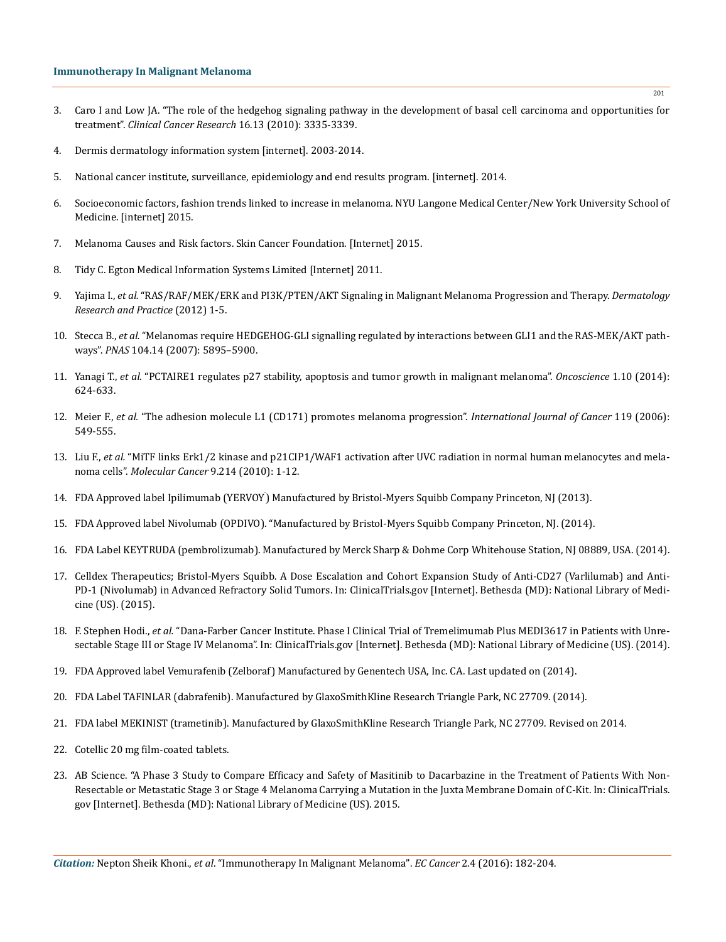- 3. [Caro I and Low JA. "The role of the hedgehog signaling pathway in the development of basal cell carcinoma and opportunities for](https://www.ncbi.nlm.nih.gov/pubmed/20439455)  treatment". *[Clinical Cancer Research](https://www.ncbi.nlm.nih.gov/pubmed/20439455)* 16.13 (2010): 3335-3339.
- 4. [Dermis dermatology information system \[internet\]. 2003-2014.](http://skincancer.dermis.net/content/e04typesof/e154/e155/index_eng.html)
- 5. [National cancer institute, surveillance, epidemiology and end results program. \[internet\]. 2014.](http://seer.cancer.gov/statfacts/html/melan.html)
- 6. [Socioeconomic factors, fashion trends linked to increase in melanoma. NYU Langone Medical Center/New York University School of](http://www.sciencedaily.com/releases/2014/10/141002123802.htm) [Medicine. \[internet\] 2015.](http://www.sciencedaily.com/releases/2014/10/141002123802.htm)
- 7. [Melanoma Causes and Risk factors. Skin Cancer Foundation. \[Internet\] 2015.](http://www.skincancer.org/skin-cancer-information/melanoma/melanoma-causes-and-risk-factors)
- 8. [Tidy C. Egton Medical Information Systems Limited \[Internet\] 2011.](http://www.patient.co.uk/doctor/malignant-melanoma-of-skin)
- 9. Yajima I., *et al.* ["RAS/RAF/MEK/ERK and PI3K/PTEN/AKT Signaling in Malignant Melanoma Progression and Therapy.](https://www.hindawi.com/journals/drp/2012/354191/) *Dermatology [Research and Practice](https://www.hindawi.com/journals/drp/2012/354191/)* (2012) 1-5.
- 10. Stecca B., *et al.* ["Melanomas require HEDGEHOG-GLI signalling regulated by interactions between GLI1 and the RAS-MEK/AKT path](https://www.ncbi.nlm.nih.gov/pubmed/17392427)ways". *PNAS* [104.14 \(2007\): 5895–5900.](https://www.ncbi.nlm.nih.gov/pubmed/17392427)
- 11. Yanagi T., *et al.* ["PCTAIRE1 regulates p27 stability, apoptosis and tumor growth in malignant melanoma".](https://www.ncbi.nlm.nih.gov/pubmed/25593992) *Oncoscience* 1.10 (2014): [624-633.](https://www.ncbi.nlm.nih.gov/pubmed/25593992)
- 12. Meier F., *et al.* ["The adhesion molecule L1 \(CD171\) promotes melanoma progression".](https://www.ncbi.nlm.nih.gov/pubmed/16506207) *International Journal of Cancer* 119 (2006): [549-555.](https://www.ncbi.nlm.nih.gov/pubmed/16506207)
- 13. Liu F., *et al.* ["MiTF links Erk1/2 kinase and p21CIP1/WAF1 activation after UVC radiation in normal human melanocytes and mela](http://molecular-cancer.biomedcentral.com/articles/10.1186/1476-4598-9-214)noma cells". *Molecular Cancer* [9.214 \(2010\): 1-12.](http://molecular-cancer.biomedcentral.com/articles/10.1186/1476-4598-9-214)
- 14. FDA Approved label Ipilimumab (YERVOY[\) Manufactured by Bristol-Myers Squibb Company Princeton, NJ \(2013\).](http://www.accessdata.fda.gov/drugsatfda_docs/label/2013/125377s055lbl.pdf)
- 15. [FDA Approved label Nivolumab \(OPDIVO\). "Manufactured by Bristol-Myers Squibb Company Princeton, NJ. \(2014\).](http://packageinserts.bms.com/pi/pi_opdivo.pdf)
- 16. [FDA Label KEYTRUDA \(pembrolizumab\). Manufactured by Merck Sharp & Dohme Corp Whitehouse Station, NJ 08889, USA. \(2014\).](http://www.accessdata.fda.gov/drugsatfda_docs/label/2014/125514lbl.pdf)
- 17. [Celldex Therapeutics; Bristol-Myers Squibb. A Dose Escalation and Cohort Expansion Study of Anti-CD27 \(Varlilumab\) and Anti-](https://clinicaltrials.gov/ct2/show/NCT02335918)[PD-1 \(Nivolumab\) in Advanced Refractory Solid Tumors. In: ClinicalTrials.gov \[Internet\]. Bethesda \(MD\): National Library of Medi](https://clinicaltrials.gov/ct2/show/NCT02335918)[cine \(US\). \(2015\).](https://clinicaltrials.gov/ct2/show/NCT02335918)
- 18. F. Stephen Hodi., *et al.* ["Dana-Farber Cancer Institute. Phase I Clinical Trial of Tremelimumab Plus MEDI3617 in Patients with Unre](https://clinicaltrials.gov/show/NCT02141542)[sectable Stage III or Stage IV Melanoma". In: ClinicalTrials.gov \[Internet\].](https://clinicaltrials.gov/show/NCT02141542) Bethesda (MD): National Library of Medicine (US). (2014).
- 19. [FDA Approved label Vemurafenib \(Zelboraf\) Manufactured by Genentech USA, Inc. CA. Last updated on \(2014\).](http://www.accessdata.fda.gov/drugsatfda_docs/label/2014/202429s006lbl.pdf)
- 20. [FDA Label TAFINLAR \(dabrafenib\). Manufactured by GlaxoSmithKline Research Triangle Park, NC 27709. \(2014\).](http://www.accessdata.fda.gov/drugsatfda_docs/label/2014/202806s002lbl.pdf)
- 21. [FDA label MEKINIST \(trametinib\). Manufactured by GlaxoSmithKline Research Triangle Park, NC 27709. Revised on 2014.](http://www.accessdata.fda.gov/drugsatfda_docs/label/2014/204114s001lbl.pdf)
- 22. [Cotellic 20 mg film-coated tablets.](https://www.medicines.org.uk/emc/medicine/31376)
- 23. [AB Science. "A Phase 3 Study to Compare Efficacy and Safety of Masitinib to Dacarbazine in the Treatment of Patients With Non-](https://clinicaltrials.gov/ct2/show/NCT01280565)[Resectable or Metastatic Stage 3 or Stage 4 Melanoma Carrying a Mutation in the Juxta Membrane Domain of C-Kit. In: ClinicalTrials.](https://clinicaltrials.gov/ct2/show/NCT01280565) [gov \[Internet\]. Bethesda \(MD\): National Library of Medicine \(US\). 2015.](https://clinicaltrials.gov/ct2/show/NCT01280565)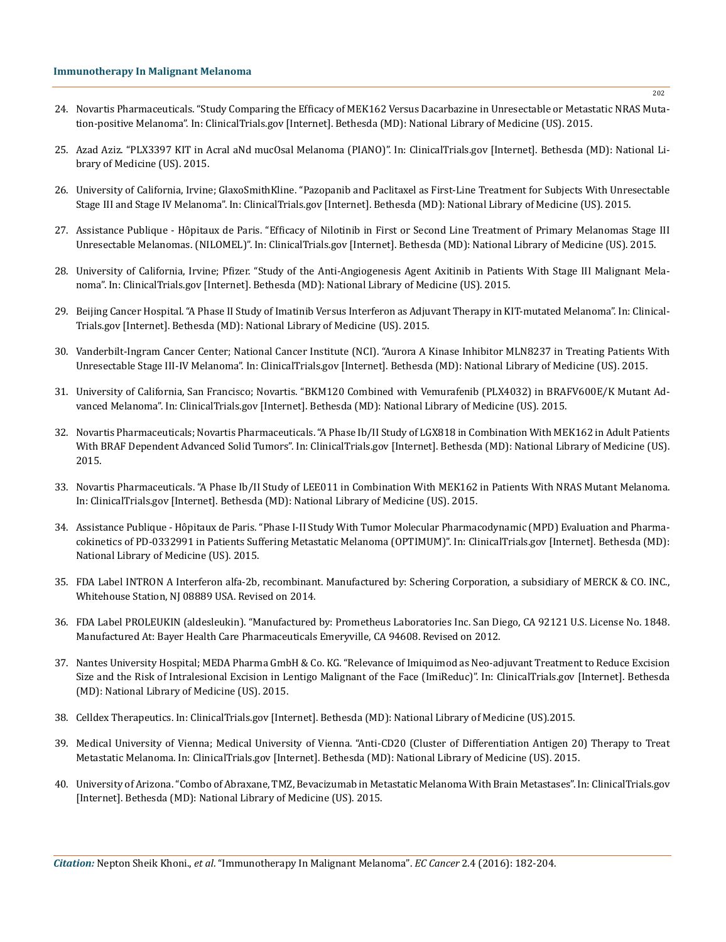- 24. [Novartis Pharmaceuticals. "Study Comparing the Efficacy of MEK162 Versus Dacarbazine in Unresectable or Metastatic NRAS Muta](https://clinicaltrials.gov/ct2/show/NCT01763164)[tion-positive Melanoma". In: ClinicalTrials.gov \[Internet\]. Bethesda \(MD\): National Library of Medicine \(US\). 2015.](https://clinicaltrials.gov/ct2/show/NCT01763164)
- 25. [Azad Aziz. "PLX3397 KIT in Acral aNd mucOsal Melanoma \(PIANO\)". In: ClinicalTrials.gov \[Internet\]. Bethesda \(MD\): National Li](https://clinicaltrials.gov/ct2/show/NCT02071940)[brary of Medicine \(US\). 2015.](https://clinicaltrials.gov/ct2/show/NCT02071940)
- 26. [University of California, Irvine; GlaxoSmithKline. "Pazopanib and Paclitaxel as First-Line Treatment for Subjects With Unresectable](http://meetinglibrary.asco.org/content/132924-144)  [Stage III and Stage IV Melanoma". In: ClinicalTrials.gov \[Internet\]. Bethesda \(MD\): National Library of Medicine \(US\). 2015.](http://meetinglibrary.asco.org/content/132924-144)
- 27. [Assistance Publique Hôpitaux de Paris. "Efficacy of Nilotinib in First or Second Line Treatment of Primary Melanomas Stage III](https://clinicaltrials.gov/ct2/show/NCT01168050)  [Unresectable Melanomas. \(NILOMEL\)". In: ClinicalTrials.gov \[Internet\]. Bethesda \(MD\): National Library of Medicine \(US\). 2015.](https://clinicaltrials.gov/ct2/show/NCT01168050)
- 28. [University of California, Irvine; Pfizer. "Study of the Anti-Angiogenesis Agent Axitinib in Patients With Stage III Malignant Mela](https://clinicaltrials.gov/ct2/show/NCT01321437)[noma". In: ClinicalTrials.gov \[Internet\]. Bethesda \(MD\): National Library of Medicine \(US\). 2015.](https://clinicaltrials.gov/ct2/show/NCT01321437)
- 29. [Beijing Cancer Hospital. "A Phase II Study of Imatinib Versus Interferon as Adjuvant Therapy in KIT-mutated Melanoma". In: Clinical-](https://clinicaltrials.gov/ct2/show/NCT01782508)[Trials.gov \[Internet\]. Bethesda \(MD\): National Library of Medicine \(US\). 2015.](https://clinicaltrials.gov/ct2/show/NCT01782508)
- 30. [Vanderbilt-Ingram Cancer Center; National Cancer Institute \(NCI\). "Aurora A Kinase Inhibitor MLN8237 in Treating Patients With](https://clinicaltrials.gov/ct2/show/NCT01316692)  [Unresectable Stage III-IV Melanoma". In: ClinicalTrials.gov \[Internet\]. Bethesda \(MD\): National Library of Medicine \(US\). 2015.](https://clinicaltrials.gov/ct2/show/NCT01316692)
- 31. [University of California, San Francisco; Novartis. "BKM120 Combined with Vemurafenib \(PLX4032\) in BRAFV600E/K Mutant Ad](https://clinicaltrials.gov/ct2/show/NCT01512251)[vanced Melanoma". In: ClinicalTrials.gov \[Internet\]. Bethesda \(MD\): National Library of Medicine \(US\). 2015.](https://clinicaltrials.gov/ct2/show/NCT01512251)
- 32. [Novartis Pharmaceuticals; Novartis Pharmaceuticals. "A Phase Ib/II Study of LGX818 in Combination With MEK162 in Adult Patients](https://clinicaltrials.gov/ct2/show/NCT01543698)  [With BRAF Dependent Advanced Solid Tumors". In: ClinicalTrials.gov \[Internet\]. Bethesda \(MD\): National Library of Medicine \(US\).](https://clinicaltrials.gov/ct2/show/NCT01543698)  [2015.](https://clinicaltrials.gov/ct2/show/NCT01543698)
- 33. [Novartis Pharmaceuticals. "A Phase Ib/II Study of LEE011 in Combination With MEK162 in Patients With NRAS Mutant Melanoma.](http://meetinglibrary.asco.org/content/130034-144)  [In: ClinicalTrials.gov \[Internet\]. Bethesda \(MD\): National Library of Medicine \(US\). 2015.](http://meetinglibrary.asco.org/content/130034-144)
- 34. [Assistance Publique Hôpitaux de Paris. "Phase I-II Study With Tumor Molecular Pharmacodynamic \(MPD\) Evaluation and Pharma](https://clinicaltrials.gov/ct2/show/NCT02202200)[cokinetics of PD-0332991 in Patients Suffering Metastatic Melanoma \(OPTIMUM\)". In: ClinicalTrials.gov \[Internet\]. Bethesda \(MD\):](https://clinicaltrials.gov/ct2/show/NCT02202200) [National Library of Medicine \(US\). 2015.](https://clinicaltrials.gov/ct2/show/NCT02202200)
- 35. FDA Label INTRON A Interferon alfa-2b, recombinant. Manufactured by: Schering Corporation, a subsidiary of MERCK & CO. INC., Whitehouse Station, NJ 08889 USA. Revised on 2014.
- 36. [FDA Label PROLEUKIN \(aldesleukin\). "Manufactured by: Prometheus Laboratories Inc. San Diego, CA 92121 U.S. License No. 1848.](http://www.accessdata.fda.gov/drugsatfda_docs/label/2012/103293s5130lbl.pdf) [Manufactured At: Bayer Health Care Pharmaceuticals Emeryville, CA 94608. Revised on 2012.](http://www.accessdata.fda.gov/drugsatfda_docs/label/2012/103293s5130lbl.pdf)
- 37. [Nantes University Hospital; MEDA Pharma GmbH & Co. KG. "Relevance of Imiquimod as Neo-adjuvant Treatment to Reduce Excision](https://clinicaltrials.gov/ct2/show/NCT01720407) [Size and the Risk of Intralesional Excision in Lentigo Malignant of the Face \(ImiReduc\)". In: ClinicalTrials.gov \[Internet\]. Bethesda](https://clinicaltrials.gov/ct2/show/NCT01720407) [\(MD\): National Library of Medicine \(US\). 2015.](https://clinicaltrials.gov/ct2/show/NCT01720407)
- 38. Celldex Therapeutics. In: ClinicalTrials.gov [Internet]. Bethesda (MD): National Library of Medicine (US).2015.
- 39. [Medical University of Vienna; Medical University of Vienna. "Anti-CD20 \(Cluster of Differentiation Antigen 20\) Therapy to Treat](https://clinicaltrials.gov/ct2/show/NCT01376713)  [Metastatic Melanoma. In: ClinicalTrials.gov \[Internet\]. Bethesda \(MD\): National Library of Medicine \(US\). 2015.](https://clinicaltrials.gov/ct2/show/NCT01376713)
- 40. [University of Arizona. "Combo of Abraxane, TMZ, Bevacizumab in Metastatic Melanoma With Brain Metastases". In: ClinicalTrials.gov](https://clinicaltrials.gov/ct2/show/NCT02065466) [\[Internet\]. Bethesda \(MD\): National Library of Medicine \(US\). 2015.](https://clinicaltrials.gov/ct2/show/NCT02065466)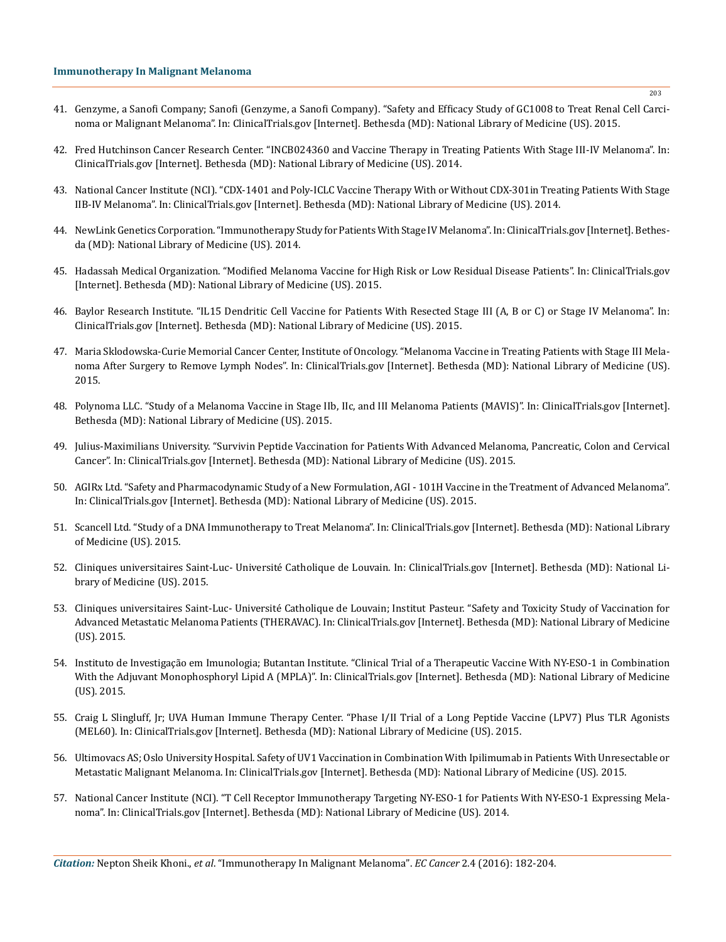- 41. [Genzyme, a Sanofi Company; Sanofi \(Genzyme, a Sanofi Company\). "Safety and Efficacy Study of GC1008 to Treat Renal Cell Carci](http://meeting.ascopubs.org/cgi/content/short/26/15_suppl/9028)[noma or Malignant Melanoma". In: ClinicalTrials.gov \[Internet\].](http://meeting.ascopubs.org/cgi/content/short/26/15_suppl/9028) Bethesda (MD): National Library of Medicine (US). 2015.
- 42. [Fred Hutchinson Cancer Research Center. "INCB024360 and Vaccine Therapy in Treating Patients With Stage III-IV Melanoma". In:](https://clinicaltrials.gov/ct2/show/NCT01961115)  ClinicalTrials.gov [Internet]. [Bethesda \(MD\): National Library of Medicine \(US\). 2014.](https://clinicaltrials.gov/ct2/show/NCT01961115)
- 43. [National Cancer Institute \(NCI\). "CDX-1401 and Poly-ICLC Vaccine Therapy With or Without CDX-301in Treating Patients With Stage](https://clinicaltrials.gov/ct2/show/NCT02129075)  IIB-IV Melanoma". In: ClinicalTrials.gov [Internet]. [Bethesda \(MD\): National Library of Medicine \(US\). 2014.](https://clinicaltrials.gov/ct2/show/NCT02129075)
- 44. [NewLink Genetics Corporation. "Immunotherapy Study for Patients With Stage IV Melanoma". In: ClinicalTrials.gov \[Internet\].Bethes](https://clinicaltrials.gov/ct2/show/NCT02054520)[da \(MD\): National Library of Medicine \(US\). 2014.](https://clinicaltrials.gov/ct2/show/NCT02054520)
- 45. [Hadassah Medical Organization. "Modified Melanoma Vaccine for High Risk or Low Residual Disease Patients". In: ClinicalTrials.gov](https://clinicaltrials.gov/ct2/show/NCT01861938) [Internet]. [Bethesda \(MD\): National Library of Medicine \(US\). 2015.](https://clinicaltrials.gov/ct2/show/NCT01861938)
- 46. [Baylor Research Institute. "IL15 Dendritic Cell Vaccine for Patients With Resected Stage III \(A, B or C\) or Stage IV Melanoma". In:](https://clinicaltrials.gov/ct2/show/NCT01189383)  ClinicalTrials.gov [Internet]. [Bethesda \(MD\): National Library of Medicine \(US\). 2015.](https://clinicaltrials.gov/ct2/show/NCT01189383)
- 47. [Maria Sklodowska-Curie Memorial Cancer Center, Institute of Oncology. "Melanoma Vaccine in Treating Patients with Stage III Mela](https://www.aimatmelanoma.org/stages-of-melanoma/stage-iii-melanoma/treatment-options-for-stage-iii-melanoma/)[noma After Surgery to Remove Lymph Nodes". In: ClinicalTrials.gov \[Internet\].](https://www.aimatmelanoma.org/stages-of-melanoma/stage-iii-melanoma/treatment-options-for-stage-iii-melanoma/) Bethesda (MD): National Library of Medicine (US). [2015.](https://www.aimatmelanoma.org/stages-of-melanoma/stage-iii-melanoma/treatment-options-for-stage-iii-melanoma/)
- 48. [Polynoma LLC. "Study of a Melanoma Vaccine in Stage IIb, IIc, and III Melanoma Patients \(MAVIS\)". In: ClinicalTrials.gov \[Internet\].](https://clinicaltrials.gov/ct2/show/NCT01546571)  [Bethesda \(MD\): National Library of Medicine \(US\). 2015.](https://clinicaltrials.gov/ct2/show/NCT01546571)
- 49. [Julius-Maximilians University. "Survivin Peptide Vaccination for Patients With Advanced Melanoma, Pancreatic, Colon and Cervical](https://clinicaltrials.gov/ct2/show/NCT00108875)  [Cancer". In: ClinicalTrials.gov \[Internet\]. Bethesda \(MD\): National Library of Medicine \(US\). 2015.](https://clinicaltrials.gov/ct2/show/NCT00108875)
- 50. [AGIRx Ltd. "Safety and Pharmacodynamic Study of a New Formulation, AGI 101H Vaccine in the Treatment of Advanced Melanoma".](https://clinicaltrials.gov/ct2/show/NCT00716495)  [In: ClinicalTrials.gov \[Internet\]. Bethesda \(MD\): National Library of Medicine \(US\). 2015.](https://clinicaltrials.gov/ct2/show/NCT00716495)
- 51. [Scancell Ltd. "Study of a DNA Immunotherapy to Treat Melanoma". In: ClinicalTrials.gov \[Internet\]. Bethesda \(MD\): National Library](https://clinicaltrials.gov/ct2/show/NCT01138410) [of Medicine \(US\). 2015.](https://clinicaltrials.gov/ct2/show/NCT01138410)
- 52. Cliniques universitaires Saint-Luc- Université Catholique de Louvain. In: ClinicalTrials.gov [Internet]. Bethesda (MD): National Library of Medicine (US). 2015.
- 53. [Cliniques universitaires Saint-Luc- Université Catholique de Louvain; Institut Pasteur. "Safety and Toxicity Study of Vaccination for](https://clinicaltrials.gov/ct2/show/NCT01331915)  [Advanced Metastatic Melanoma Patients \(THERAVAC\). In: ClinicalTrials.gov \[Internet\]. Bethesda \(MD\): National Library of Medicine](https://clinicaltrials.gov/ct2/show/NCT01331915) [\(US\). 2015.](https://clinicaltrials.gov/ct2/show/NCT01331915)
- 54. [Instituto de Investigação em Imunologia; Butantan Institute. "Clinical Trial of a Therapeutic Vaccine With NY-ESO-1 in Combination](https://clinicaltrials.gov/ct2/show/NCT01584115)  [With the Adjuvant Monophosphoryl Lipid A \(MPLA\)". In: ClinicalTrials.gov \[Internet\]. Bethesda \(MD\): National Library of Medicine](https://clinicaltrials.gov/ct2/show/NCT01584115) [\(US\). 2015.](https://clinicaltrials.gov/ct2/show/NCT01584115)
- 55. [Craig L Slingluff, Jr; UVA Human Immune Therapy Center. "Phase I/II Trial of a Long Peptide Vaccine \(LPV7\) Plus TLR Agonists](https://clinicaltrials.gov/ct2/show/NCT02126579) [\(MEL60\). In: ClinicalTrials.gov \[Internet\]. Bethesda \(MD\): National Library of Medicine \(US\). 2015.](https://clinicaltrials.gov/ct2/show/NCT02126579)
- 56. [Ultimovacs AS; Oslo University Hospital. Safety of UV1 Vaccination in Combination With Ipilimumab in Patients With Unresectable or](file:///C:/Users/Unitech124/Desktop/Safety%20of%20UV1%20Vaccination%20in%20Combination%20With%20Ipilimumab%20in%20Patients%20With%20Unresectable%20or%20Metastatic%20Malignant%20Melanoma.%20In:%20ClinicalTrials.gov%20%5bInternet%5d.%20Bethesda%20(MD):%20National%20Library%20of%20Medicine%20(US).%202015.)  [Metastatic Malignant Melanoma. In: ClinicalTrials.gov \[Internet\]. Bethesda \(MD\): National Library of Medicine \(US\). 2015.](file:///C:/Users/Unitech124/Desktop/Safety%20of%20UV1%20Vaccination%20in%20Combination%20With%20Ipilimumab%20in%20Patients%20With%20Unresectable%20or%20Metastatic%20Malignant%20Melanoma.%20In:%20ClinicalTrials.gov%20%5bInternet%5d.%20Bethesda%20(MD):%20National%20Library%20of%20Medicine%20(US).%202015.)
- 57. [National Cancer Institute \(NCI\). "T Cell Receptor Immunotherapy Targeting NY-ESO-1 for Patients With NY-ESO-1 Expressing Mela](https://clinicaltrials.gov/ct2/show/NCT01967823)noma". In: ClinicalTrials.gov [Internet]. [Bethesda \(MD\): National Library of Medicine \(US\). 2014.](https://clinicaltrials.gov/ct2/show/NCT01967823)

*Citation:* Nepton Sheik Khoni., *et al*. "Immunotherapy In Malignant Melanoma". *EC Cancer* 2.4 (2016): 182-204.